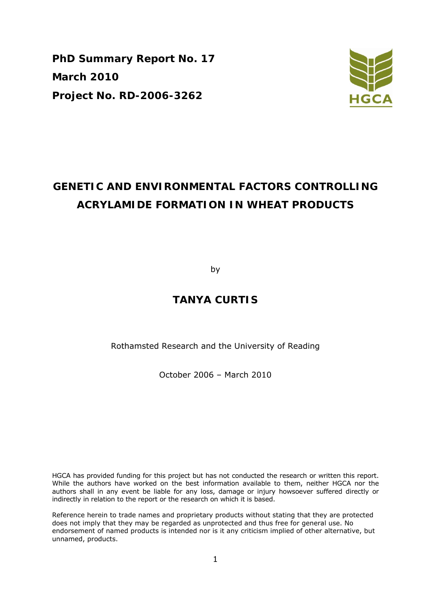**PhD Summary Report No. 17 March 2010 Project No. RD-2006-3262** 



# **GENETIC AND ENVIRONMENTAL FACTORS CONTROLLING ACRYLAMIDE FORMATION IN WHEAT PRODUCTS**

by

## **TANYA CURTIS**

Rothamsted Research and the University of Reading

October 2006 – March 2010

HGCA has provided funding for this project but has not conducted the research or written this report. While the authors have worked on the best information available to them, neither HGCA nor the authors shall in any event be liable for any loss, damage or injury howsoever suffered directly or indirectly in relation to the report or the research on which it is based.

Reference herein to trade names and proprietary products without stating that they are protected does not imply that they may be regarded as unprotected and thus free for general use. No endorsement of named products is intended nor is it any criticism implied of other alternative, but unnamed, products.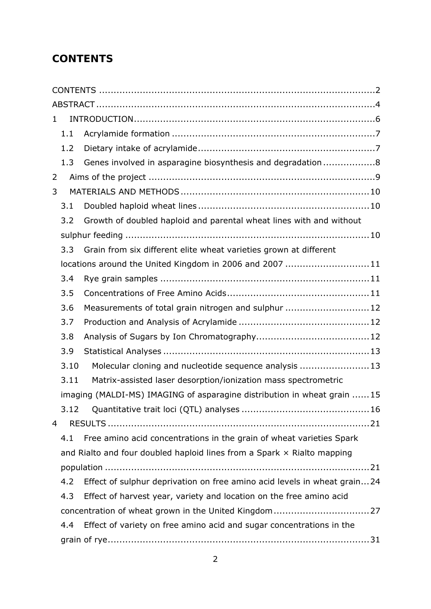# **CONTENTS**

| 1                                                                          |      |                                                                          |  |  |  |  |  |  |
|----------------------------------------------------------------------------|------|--------------------------------------------------------------------------|--|--|--|--|--|--|
|                                                                            | 1.1  |                                                                          |  |  |  |  |  |  |
|                                                                            | 1.2  |                                                                          |  |  |  |  |  |  |
|                                                                            | 1.3  | Genes involved in asparagine biosynthesis and degradation8               |  |  |  |  |  |  |
| 2                                                                          |      |                                                                          |  |  |  |  |  |  |
| 3                                                                          |      |                                                                          |  |  |  |  |  |  |
|                                                                            | 3.1  |                                                                          |  |  |  |  |  |  |
|                                                                            | 3.2  | Growth of doubled haploid and parental wheat lines with and without      |  |  |  |  |  |  |
|                                                                            |      |                                                                          |  |  |  |  |  |  |
|                                                                            | 3.3  | Grain from six different elite wheat varieties grown at different        |  |  |  |  |  |  |
|                                                                            |      | locations around the United Kingdom in 2006 and 2007 11                  |  |  |  |  |  |  |
|                                                                            | 3.4  |                                                                          |  |  |  |  |  |  |
|                                                                            | 3.5  |                                                                          |  |  |  |  |  |  |
|                                                                            | 3.6  | Measurements of total grain nitrogen and sulphur 12                      |  |  |  |  |  |  |
|                                                                            | 3.7  |                                                                          |  |  |  |  |  |  |
|                                                                            | 3.8  |                                                                          |  |  |  |  |  |  |
|                                                                            | 3.9  |                                                                          |  |  |  |  |  |  |
|                                                                            | 3.10 | Molecular cloning and nucleotide sequence analysis  13                   |  |  |  |  |  |  |
|                                                                            | 3.11 | Matrix-assisted laser desorption/ionization mass spectrometric           |  |  |  |  |  |  |
|                                                                            |      | imaging (MALDI-MS) IMAGING of asparagine distribution in wheat grain 15  |  |  |  |  |  |  |
|                                                                            |      |                                                                          |  |  |  |  |  |  |
| 4                                                                          |      |                                                                          |  |  |  |  |  |  |
|                                                                            | 4.1  | Free amino acid concentrations in the grain of wheat varieties Spark     |  |  |  |  |  |  |
|                                                                            |      | and Rialto and four doubled haploid lines from a Spark x Rialto mapping  |  |  |  |  |  |  |
|                                                                            |      |                                                                          |  |  |  |  |  |  |
|                                                                            | 4.2  | Effect of sulphur deprivation on free amino acid levels in wheat grain24 |  |  |  |  |  |  |
| Effect of harvest year, variety and location on the free amino acid<br>4.3 |      |                                                                          |  |  |  |  |  |  |
|                                                                            |      |                                                                          |  |  |  |  |  |  |
|                                                                            | 4.4  | Effect of variety on free amino acid and sugar concentrations in the     |  |  |  |  |  |  |
|                                                                            |      |                                                                          |  |  |  |  |  |  |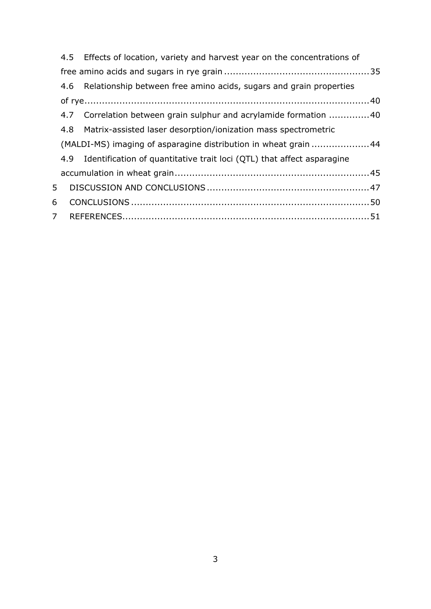|                | 4.5 Effects of location, variety and harvest year on the concentrations of |  |
|----------------|----------------------------------------------------------------------------|--|
|                |                                                                            |  |
|                | 4.6 Relationship between free amino acids, sugars and grain properties     |  |
|                |                                                                            |  |
|                | 4.7 Correlation between grain sulphur and acrylamide formation 40          |  |
|                | 4.8 Matrix-assisted laser desorption/ionization mass spectrometric         |  |
|                | (MALDI-MS) imaging of asparagine distribution in wheat grain 44            |  |
|                | 4.9 Identification of quantitative trait loci (QTL) that affect asparagine |  |
|                |                                                                            |  |
| 5              |                                                                            |  |
| 6              |                                                                            |  |
| $\overline{7}$ |                                                                            |  |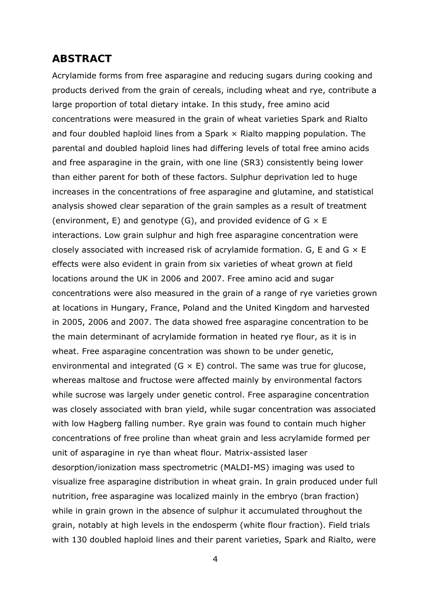### **ABSTRACT**

Acrylamide forms from free asparagine and reducing sugars during cooking and products derived from the grain of cereals, including wheat and rye, contribute a large proportion of total dietary intake. In this study, free amino acid concentrations were measured in the grain of wheat varieties Spark and Rialto and four doubled haploid lines from a Spark  $\times$  Rialto mapping population. The parental and doubled haploid lines had differing levels of total free amino acids and free asparagine in the grain, with one line (SR3) consistently being lower than either parent for both of these factors. Sulphur deprivation led to huge increases in the concentrations of free asparagine and glutamine, and statistical analysis showed clear separation of the grain samples as a result of treatment (environment, E) and genotype (G), and provided evidence of  $G \times E$ interactions. Low grain sulphur and high free asparagine concentration were closely associated with increased risk of acrylamide formation. G, E and G  $\times$  E effects were also evident in grain from six varieties of wheat grown at field locations around the UK in 2006 and 2007. Free amino acid and sugar concentrations were also measured in the grain of a range of rye varieties grown at locations in Hungary, France, Poland and the United Kingdom and harvested in 2005, 2006 and 2007. The data showed free asparagine concentration to be the main determinant of acrylamide formation in heated rye flour, as it is in wheat. Free asparagine concentration was shown to be under genetic, environmental and integrated  $(G \times E)$  control. The same was true for glucose, whereas maltose and fructose were affected mainly by environmental factors while sucrose was largely under genetic control. Free asparagine concentration was closely associated with bran yield, while sugar concentration was associated with low Hagberg falling number. Rye grain was found to contain much higher concentrations of free proline than wheat grain and less acrylamide formed per unit of asparagine in rye than wheat flour. Matrix-assisted laser desorption/ionization mass spectrometric (MALDI-MS) imaging was used to visualize free asparagine distribution in wheat grain. In grain produced under full nutrition, free asparagine was localized mainly in the embryo (bran fraction) while in grain grown in the absence of sulphur it accumulated throughout the grain, notably at high levels in the endosperm (white flour fraction). Field trials with 130 doubled haploid lines and their parent varieties, Spark and Rialto, were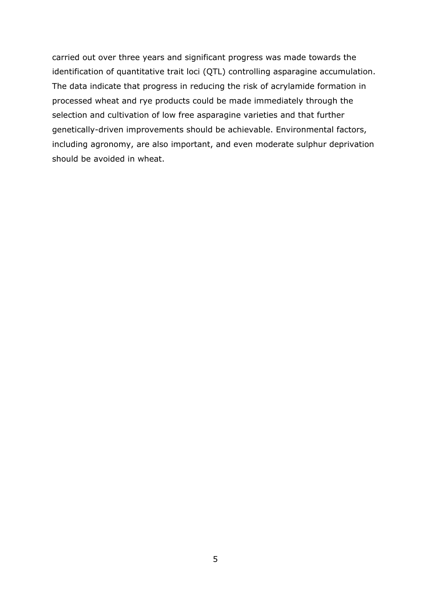carried out over three years and significant progress was made towards the identification of quantitative trait loci (QTL) controlling asparagine accumulation. The data indicate that progress in reducing the risk of acrylamide formation in processed wheat and rye products could be made immediately through the selection and cultivation of low free asparagine varieties and that further genetically-driven improvements should be achievable. Environmental factors, including agronomy, are also important, and even moderate sulphur deprivation should be avoided in wheat.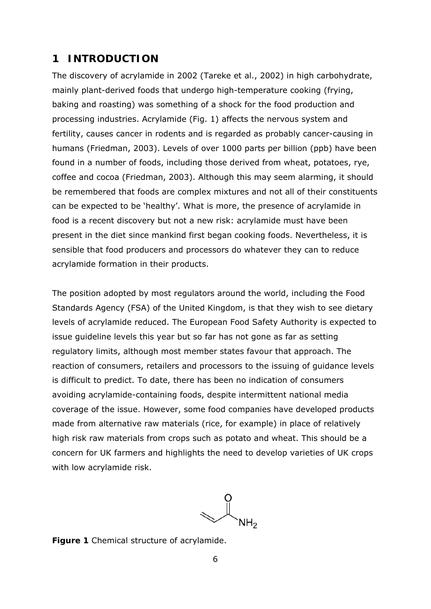## **1 INTRODUCTION**

The discovery of acrylamide in 2002 (Tareke *et al*., 2002) in high carbohydrate, mainly plant-derived foods that undergo high-temperature cooking (frying, baking and roasting) was something of a shock for the food production and processing industries. Acrylamide (Fig. 1) affects the nervous system and fertility, causes cancer in rodents and is regarded as probably cancer-causing in humans (Friedman, 2003). Levels of over 1000 parts per billion (ppb) have been found in a number of foods, including those derived from wheat, potatoes, rye, coffee and cocoa (Friedman, 2003). Although this may seem alarming, it should be remembered that foods are complex mixtures and not all of their constituents can be expected to be 'healthy'. What is more, the presence of acrylamide in food is a recent discovery but not a new risk: acrylamide must have been present in the diet since mankind first began cooking foods. Nevertheless, it is sensible that food producers and processors do whatever they can to reduce acrylamide formation in their products.

Тhe position adopted by most regulators around the world, including the Food Standards Agency (FSA) of the United Kingdom, is that they wish to see dietary levels of acrylamide reduced. The European Food Safety Authority is expected to issue guideline levels this year but so far has not gone as far as setting regulatory limits, although most member states favour that approach. The reaction of consumers, retailers and processors to the issuing of guidance levels is difficult to predict. To date, there has been no indication of consumers avoiding acrylamide-containing foods, despite intermittent national media coverage of the issue. However, some food companies have developed products made from alternative raw materials (rice, for example) in place of relatively high risk raw materials from crops such as potato and wheat. This should be a concern for UK farmers and highlights the need to develop varieties of UK crops with low acrylamide risk.

**Figure 1** Chemical structure of acrylamide.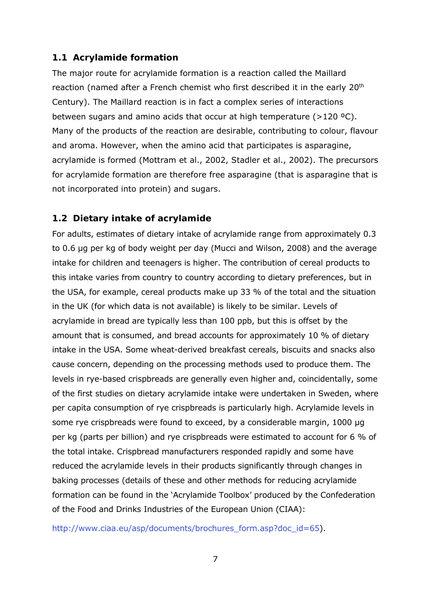### **1.1 Acrylamide formation**

The major route for acrylamide formation is a reaction called the Maillard reaction (named after a French chemist who first described it in the early 20<sup>th</sup> Century). The Maillard reaction is in fact a complex series of interactions between sugars and amino acids that occur at high temperature (>120 ºC). Many of the products of the reaction are desirable, contributing to colour, flavour and aroma. However, when the amino acid that participates is asparagine, acrylamide is formed (Mottram *et al*., 2002, Stadler *et al*., 2002). The precursors for acrylamide formation are therefore free asparagine (that is asparagine that is not incorporated into protein) and sugars.

### **1.2 Dietary intake of acrylamide**

For adults, estimates of dietary intake of acrylamide range from approximately 0.3 to 0.6 µg per kg of body weight per day (Mucci and Wilson, 2008) and the average intake for children and teenagers is higher. The contribution of cereal products to this intake varies from country to country according to dietary preferences, but in the USA, for example, cereal products make up 33 % of the total and the situation in the UK (for which data is not available) is likely to be similar. Levels of acrylamide in bread are typically less than 100 ppb, but this is offset by the amount that is consumed, and bread accounts for approximately 10 % of dietary intake in the USA. Some wheat-derived breakfast cereals, biscuits and snacks also cause concern, depending on the processing methods used to produce them. The levels in rye-based crispbreads are generally even higher and, coincidentally, some of the first studies on dietary acrylamide intake were undertaken in Sweden, where *per capita* consumption of rye crispbreads is particularly high. Acrylamide levels in some rye crispbreads were found to exceed, by a considerable margin, 1000 µg per kg (parts per billion) and rye crispbreads were estimated to account for 6 % of the total intake. Crispbread manufacturers responded rapidly and some have reduced the acrylamide levels in their products significantly through changes in baking processes (details of these and other methods for reducing acrylamide formation can be found in the 'Acrylamide Toolbox' produced by the Confederation of the Food and Drinks Industries of the European Union (CIAA):

http://www.ciaa.eu/asp/documents/brochures\_form.asp?doc\_id=65).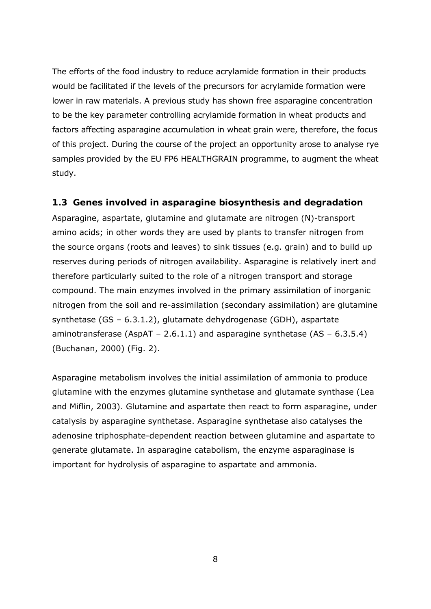The efforts of the food industry to reduce acrylamide formation in their products would be facilitated if the levels of the precursors for acrylamide formation were lower in raw materials. A previous study has shown free asparagine concentration to be the key parameter controlling acrylamide formation in wheat products and factors affecting asparagine accumulation in wheat grain were, therefore, the focus of this project. During the course of the project an opportunity arose to analyse rye samples provided by the EU FP6 HEALTHGRAIN programme, to augment the wheat study.

### **1.3 Genes involved in asparagine biosynthesis and degradation**

Asparagine, aspartate, glutamine and glutamate are nitrogen (N)-transport amino acids; in other words they are used by plants to transfer nitrogen from the source organs (roots and leaves) to sink tissues (e.g. grain) and to build up reserves during periods of nitrogen availability. Asparagine is relatively inert and therefore particularly suited to the role of a nitrogen transport and storage compound. The main enzymes involved in the primary assimilation of inorganic nitrogen from the soil and re-assimilation (secondary assimilation) are glutamine synthetase (GS – 6.3.1.2), glutamate dehydrogenase (GDH), aspartate aminotransferase (AspAT – 2.6.1.1) and asparagine synthetase (AS –  $6.3.5.4$ ) (Buchanan, 2000) (Fig. 2).

Asparagine metabolism involves the initial assimilation of ammonia to produce glutamine with the enzymes glutamine synthetase and glutamate synthase (Lea and Miflin, 2003). Glutamine and aspartate then react to form asparagine, under catalysis by asparagine synthetase. Asparagine synthetase also catalyses the adenosine triphosphate-dependent reaction between glutamine and aspartate to generate glutamate. In asparagine catabolism, the enzyme asparaginase is important for hydrolysis of asparagine to aspartate and ammonia.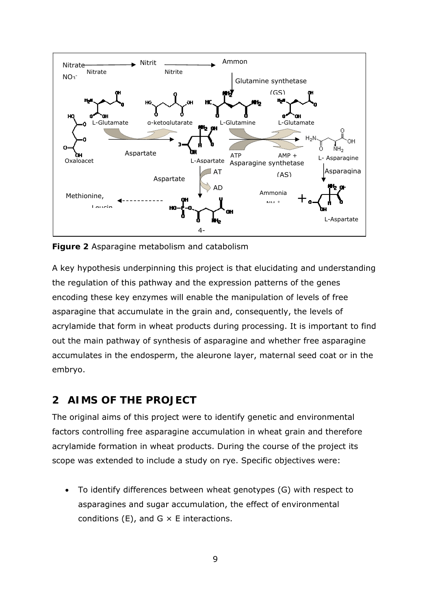

**Figure 2** Asparagine metabolism and catabolism

A key hypothesis underpinning this project is that elucidating and understanding the regulation of this pathway and the expression patterns of the genes encoding these key enzymes will enable the manipulation of levels of free asparagine that accumulate in the grain and, consequently, the levels of acrylamide that form in wheat products during processing. It is important to find out the main pathway of synthesis of asparagine and whether free asparagine accumulates in the endosperm, the aleurone layer, maternal seed coat or in the embryo.

## **2 AIMS OF THE PROJECT**

The original aims of this project were to identify genetic and environmental factors controlling free asparagine accumulation in wheat grain and therefore acrylamide formation in wheat products. During the course of the project its scope was extended to include a study on rye. Specific objectives were:

 To identify differences between wheat genotypes (G) with respect to asparagines and sugar accumulation, the effect of environmental conditions (E), and  $G \times E$  interactions.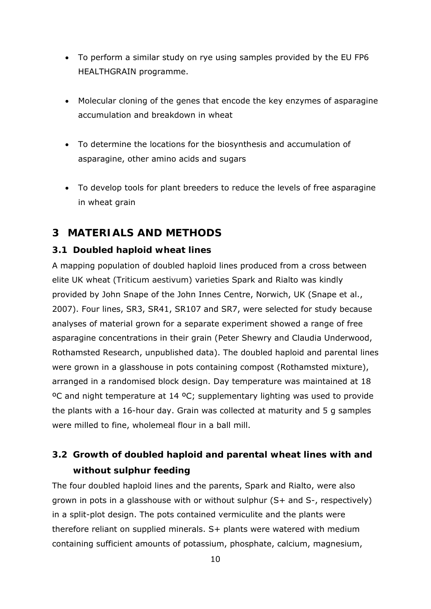- To perform a similar study on rye using samples provided by the EU FP6 HEALTHGRAIN programme.
- Molecular cloning of the genes that encode the key enzymes of asparagine accumulation and breakdown in wheat
- To determine the locations for the biosynthesis and accumulation of asparagine, other amino acids and sugars
- To develop tools for plant breeders to reduce the levels of free asparagine in wheat grain

## **3 MATERIALS AND METHODS**

### **3.1 Doubled haploid wheat lines**

A mapping population of doubled haploid lines produced from a cross between elite UK wheat (*Triticum aestivum*) varieties Spark and Rialto was kindly provided by John Snape of the John Innes Centre, Norwich, UK (Snape *et al*., 2007). Four lines, SR3, SR41, SR107 and SR7, were selected for study because analyses of material grown for a separate experiment showed a range of free asparagine concentrations in their grain (Peter Shewry and Claudia Underwood, Rothamsted Research, unpublished data). The doubled haploid and parental lines were grown in a glasshouse in pots containing compost (Rothamsted mixture), arranged in a randomised block design. Day temperature was maintained at 18 ºC and night temperature at 14 ºC; supplementary lighting was used to provide the plants with a 16-hour day. Grain was collected at maturity and 5 g samples were milled to fine, wholemeal flour in a ball mill.

# **3.2 Growth of doubled haploid and parental wheat lines with and without sulphur feeding**

The four doubled haploid lines and the parents, Spark and Rialto, were also grown in pots in a glasshouse with or without sulphur (S+ and S-, respectively) in a split-plot design. The pots contained vermiculite and the plants were therefore reliant on supplied minerals. S+ plants were watered with medium containing sufficient amounts of potassium, phosphate, calcium, magnesium,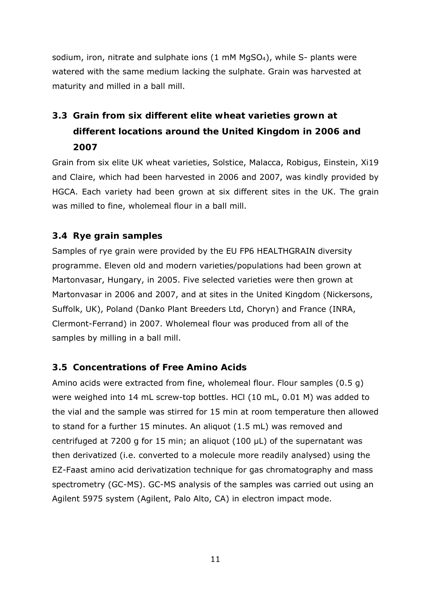sodium, iron, nitrate and sulphate ions (1 mM MgSO<sub>4</sub>), while S- plants were watered with the same medium lacking the sulphate. Grain was harvested at maturity and milled in a ball mill.

# **3.3 Grain from six different elite wheat varieties grown at different locations around the United Kingdom in 2006 and 2007**

Grain from six elite UK wheat varieties, Solstice, Malacca, Robigus, Einstein, Xi19 and Claire, which had been harvested in 2006 and 2007, was kindly provided by HGCA. Each variety had been grown at six different sites in the UK. The grain was milled to fine, wholemeal flour in a ball mill.

### **3.4 Rye grain samples**

Samples of rye grain were provided by the EU FP6 HEALTHGRAIN diversity programme. Eleven old and modern varieties/populations had been grown at Martonvasar, Hungary, in 2005. Five selected varieties were then grown at Martonvasar in 2006 and 2007, and at sites in the United Kingdom (Nickersons, Suffolk, UK), Poland (Danko Plant Breeders Ltd, Choryn) and France (INRA, Clermont-Ferrand) in 2007. Wholemeal flour was produced from all of the samples by milling in a ball mill.

### **3.5 Concentrations of Free Amino Acids**

Amino acids were extracted from fine, wholemeal flour. Flour samples (0.5 g) were weighed into 14 mL screw-top bottles. HCl (10 mL, 0.01 M) was added to the vial and the sample was stirred for 15 min at room temperature then allowed to stand for a further 15 minutes. An aliquot (1.5 mL) was removed and centrifuged at 7200 *g* for 15 min; an aliquot (100 µL) of the supernatant was then derivatized (i.e. converted to a molecule more readily analysed) using the EZ-Faast amino acid derivatization technique for gas chromatography and mass spectrometry (GC-MS). GC-MS analysis of the samples was carried out using an Agilent 5975 system (Agilent, Palo Alto, CA) in electron impact mode.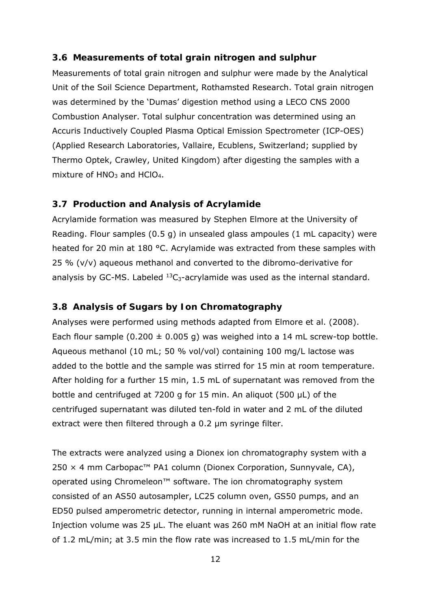#### **3.6 Measurements of total grain nitrogen and sulphur**

Measurements of total grain nitrogen and sulphur were made by the Analytical Unit of the Soil Science Department, Rothamsted Research. Total grain nitrogen was determined by the 'Dumas' digestion method using a LECO CNS 2000 Combustion Analyser. Total sulphur concentration was determined using an Accuris Inductively Coupled Plasma Optical Emission Spectrometer (ICP-OES) (Applied Research Laboratories, Vallaire, Ecublens, Switzerland; supplied by Thermo Optek, Crawley, United Kingdom) after digesting the samples with a mixture of  $HNO<sub>3</sub>$  and  $HClO<sub>4</sub>$ .

#### **3.7 Production and Analysis of Acrylamide**

Acrylamide formation was measured by Stephen Elmore at the University of Reading. Flour samples (0.5 g) in unsealed glass ampoules (1 mL capacity) were heated for 20 min at 180 °C. Acrylamide was extracted from these samples with 25 % (v/v) aqueous methanol and converted to the dibromo-derivative for analysis by GC-MS. Labeled  $^{13}C_3$ -acrylamide was used as the internal standard.

#### **3.8 Analysis of Sugars by Ion Chromatography**

Analyses were performed using methods adapted from Elmore *et al*. (2008). Each flour sample (0.200  $\pm$  0.005 g) was weighed into a 14 mL screw-top bottle. Aqueous methanol (10 mL; 50 % vol/vol) containing 100 mg/L lactose was added to the bottle and the sample was stirred for 15 min at room temperature. After holding for a further 15 min, 1.5 mL of supernatant was removed from the bottle and centrifuged at 7200 *g* for 15 min. An aliquot (500 µL) of the centrifuged supernatant was diluted ten-fold in water and 2 mL of the diluted extract were then filtered through a 0.2 µm syringe filter.

The extracts were analyzed using a Dionex ion chromatography system with a 250  $×$  4 mm Carbopac<sup>™</sup> PA1 column (Dionex Corporation, Sunnyvale, CA), operated using Chromeleon™ software. The ion chromatography system consisted of an AS50 autosampler, LC25 column oven, GS50 pumps, and an ED50 pulsed amperometric detector, running in internal amperometric mode. Injection volume was 25 µL. The eluant was 260 mM NaOH at an initial flow rate of 1.2 mL/min; at 3.5 min the flow rate was increased to 1.5 mL/min for the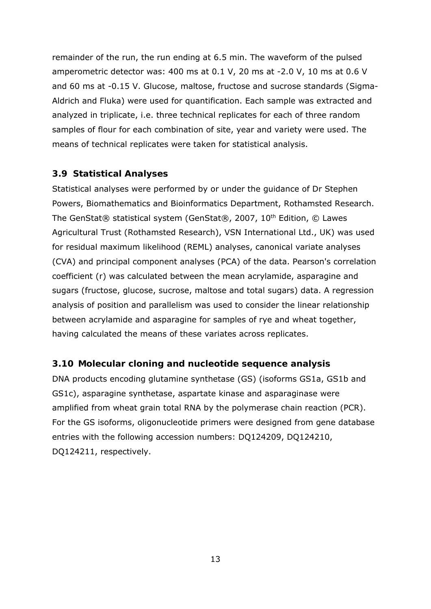remainder of the run, the run ending at 6.5 min. The waveform of the pulsed amperometric detector was: 400 ms at 0.1 V, 20 ms at -2.0 V, 10 ms at 0.6 V and 60 ms at -0.15 V. Glucose, maltose, fructose and sucrose standards (Sigma-Aldrich and Fluka) were used for quantification. Each sample was extracted and analyzed in triplicate, i.e. three technical replicates for each of three random samples of flour for each combination of site, year and variety were used. The means of technical replicates were taken for statistical analysis.

### **3.9 Statistical Analyses**

Statistical analyses were performed by or under the guidance of Dr Stephen Powers, Biomathematics and Bioinformatics Department, Rothamsted Research. The GenStat® statistical system (GenStat®, 2007, 10<sup>th</sup> Edition, © Lawes Agricultural Trust (Rothamsted Research), VSN International Ltd., UK) was used for residual maximum likelihood (REML) analyses, canonical variate analyses (CVA) and principal component analyses (PCA) of the data. Pearson's correlation coefficient (*r*) was calculated between the mean acrylamide, asparagine and sugars (fructose, glucose, sucrose, maltose and total sugars) data. A regression analysis of position and parallelism was used to consider the linear relationship between acrylamide and asparagine for samples of rye and wheat together, having calculated the means of these variates across replicates.

## **3.10 Molecular cloning and nucleotide sequence analysis**

DNA products encoding glutamine synthetase (GS) (isoforms GS1a, GS1b and GS1c), asparagine synthetase, aspartate kinase and asparaginase were amplified from wheat grain total RNA by the polymerase chain reaction (PCR). For the GS isoforms, oligonucleotide primers were designed from gene database entries with the following accession numbers: DQ124209, DQ124210, DQ124211, respectively.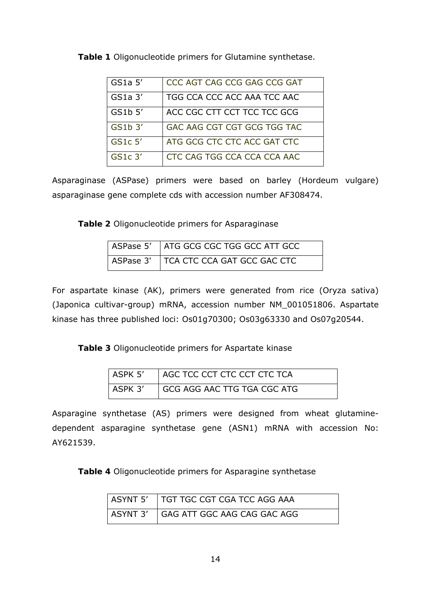| GS1a <sub>5</sub> | CCC AGT CAG CCG GAG CCG GAT |
|-------------------|-----------------------------|
| $GS1a$ $3'$       | TGG CCA CCC ACC AAA TCC AAC |
| GS1b 5'           | ACC CGC CTT CCT TCC TCC GCG |
| GS1b 3'           | GAC AAG CGT CGT GCG TGG TAC |
| $GSLc$ 5'         | ATG GCG CTC CTC ACC GAT CTC |
| $GS1c$ 3'         | CTC CAG TGG CCA CCA CCA AAC |

**Table 1** Oligonucleotide primers for Glutamine synthetase.

Asparaginase (ASPase) primers were based on barley (*Hordeum vulgare*) asparaginase gene complete cds with accession number AF308474.

**Table 2** Oligonucleotide primers for Asparaginase

| ASPase 5' ATG GCG CGC TGG GCC ATT GCC |
|---------------------------------------|
| ASPase 3' TCA CTC CCA GAT GCC GAC CTC |

For aspartate kinase (AK), primers were generated from rice (*Oryza sativa*) (Japonica cultivar-group) mRNA, accession number NM\_001051806. Aspartate kinase has three published loci: Os01g70300; Os03g63330 and Os07g20544.

**Table 3** Oligonucleotide primers for Aspartate kinase

| ASPK 5' | I AGC TCC CCT CTC CCT CTC TCA |
|---------|-------------------------------|
| ASPK 3' | I GCG AGG AAC TTG TGA CGC ATG |

Asparagine synthetase (AS) primers were designed from wheat glutaminedependent asparagine synthetase gene (ASN1) mRNA with accession No: AY621539.

**Table 4** Oligonucleotide primers for Asparagine synthetase

| ASYNT 5'   TGT TGC CGT CGA TCC AGG AAA |
|----------------------------------------|
| ASYNT 3'   GAG ATT GGC AAG CAG GAC AGG |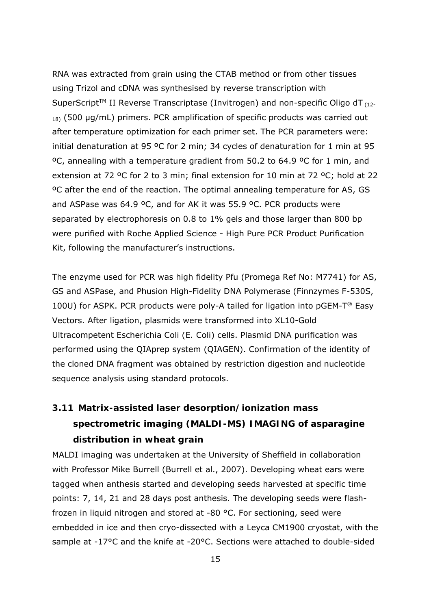RNA was extracted from grain using the CTAB method or from other tissues using Trizol and cDNA was synthesised by reverse transcription with SuperScript<sup>TM</sup> II Reverse Transcriptase (Invitrogen) and non-specific Oligo dT  $_{(12)}$  $_{18}$ ) (500 µg/mL) primers. PCR amplification of specific products was carried out after temperature optimization for each primer set. The PCR parameters were: initial denaturation at 95 ºC for 2 min; 34 cycles of denaturation for 1 min at 95 ºC, annealing with a temperature gradient from 50.2 to 64.9 ºC for 1 min, and extension at 72 ºC for 2 to 3 min; final extension for 10 min at 72 ºC; hold at 22 ºC after the end of the reaction. The optimal annealing temperature for AS, GS and ASPase was 64.9 ºC, and for AK it was 55.9 ºC. PCR products were separated by electrophoresis on 0.8 to 1% gels and those larger than 800 bp were purified with Roche Applied Science - High Pure PCR Product Purification Kit, following the manufacturer's instructions.

The enzyme used for PCR was high fidelity Pfu (Promega Ref No: M7741) for AS, GS and ASPase, and Phusion High-Fidelity DNA Polymerase (Finnzymes F-530S, 100U) for ASPK. PCR products were poly-A tailed for ligation into  $pGEM-T^{\circledast}$  Easy Vectors. After ligation, plasmids were transformed into XL10-Gold Ultracompetent *Escherichia Coli* (*E. Coli*) cells. Plasmid DNA purification was performed using the QIAprep system (QIAGEN). Confirmation of the identity of the cloned DNA fragment was obtained by restriction digestion and nucleotide sequence analysis using standard protocols.

# **3.11 Matrix-assisted laser desorption/ionization mass spectrometric imaging (MALDI-MS) IMAGING of asparagine distribution in wheat grain**

MALDI imaging was undertaken at the University of Sheffield in collaboration with Professor Mike Burrell (Burrell *et al*., 2007). Developing wheat ears were tagged when anthesis started and developing seeds harvested at specific time points: 7, 14, 21 and 28 days post anthesis. The developing seeds were flashfrozen in liquid nitrogen and stored at -80 °C. For sectioning, seed were embedded in ice and then cryo-dissected with a Leyca CM1900 cryostat, with the sample at -17°C and the knife at -20°C. Sections were attached to double-sided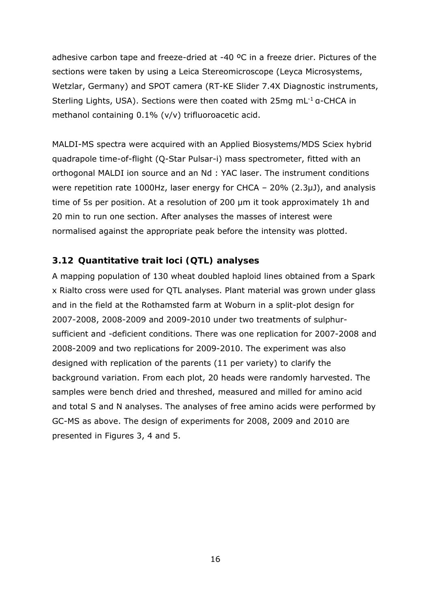adhesive carbon tape and freeze-dried at -40 ºC in a freeze drier. Pictures of the sections were taken by using a Leica Stereomicroscope (Leyca Microsystems, Wetzlar, Germany) and SPOT camera (RT-KE Slider 7.4X Diagnostic instruments, Sterling Lights, USA). Sections were then coated with 25mg mL-1 α-CHCA in methanol containing 0.1% (v/v) trifluoroacetic acid.

MALDI-MS spectra were acquired with an Applied Biosystems/MDS Sciex hybrid quadrapole time-of-flight (Q-Star Pulsar-i) mass spectrometer, fitted with an orthogonal MALDI ion source and an Nd : YAC laser. The instrument conditions were repetition rate 1000Hz, laser energy for CHCA – 20% (2.3μJ), and analysis time of 5s per position. At a resolution of 200 μm it took approximately 1h and 20 min to run one section. After analyses the masses of interest were normalised against the appropriate peak before the intensity was plotted.

### **3.12 Quantitative trait loci (QTL) analyses**

A mapping population of 130 wheat doubled haploid lines obtained from a Spark x Rialto cross were used for QTL analyses. Plant material was grown under glass and in the field at the Rothamsted farm at Woburn in a split-plot design for 2007-2008, 2008-2009 and 2009-2010 under two treatments of sulphursufficient and -deficient conditions. There was one replication for 2007-2008 and 2008-2009 and two replications for 2009-2010. The experiment was also designed with replication of the parents (11 per variety) to clarify the background variation. From each plot, 20 heads were randomly harvested. The samples were bench dried and threshed, measured and milled for amino acid and total S and N analyses. The analyses of free amino acids were performed by GC-MS as above. The design of experiments for 2008, 2009 and 2010 are presented in Figures 3, 4 and 5.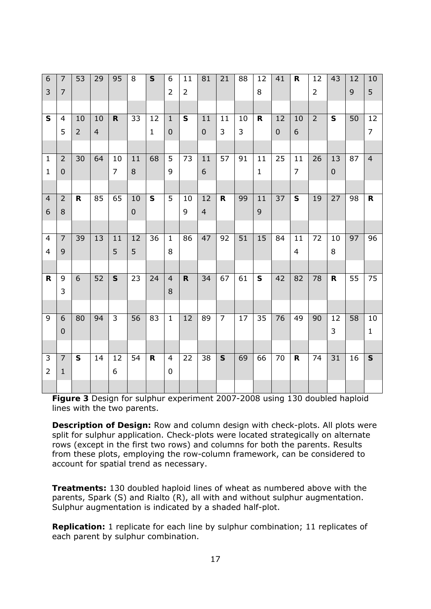| $\overline{6}$ | $\overline{7}$   | 53             | 29             | 95             | 8         | $\mathsf{s}$ | 6                | 11             | 81               | 21             | 88 | 12             | 41               | $\mathbf R$             | 12             | 43           | 12              | 10              |
|----------------|------------------|----------------|----------------|----------------|-----------|--------------|------------------|----------------|------------------|----------------|----|----------------|------------------|-------------------------|----------------|--------------|-----------------|-----------------|
| 3              | $\overline{7}$   |                |                |                |           |              | $\overline{2}$   | $\overline{2}$ |                  |                |    | 8              |                  |                         | $\overline{2}$ |              | 9               | 5               |
|                |                  |                |                |                |           |              |                  |                |                  |                |    |                |                  |                         |                |              |                 |                 |
| ${\sf S}$      | $\overline{4}$   | 10             | 10             | $\mathsf{R}$   | 33        | 12           | $\mathbf 1$      | $\mathsf{s}$   | 11               | 11             | 10 | $\mathbf R$    | 12               | 10                      | $\overline{2}$ | $\mathsf{s}$ | $\overline{50}$ | 12              |
|                | 5                | $\overline{2}$ | $\overline{4}$ |                |           | $\mathbf{1}$ | $\boldsymbol{0}$ |                | $\mathbf 0$      | $\overline{3}$ | 3  |                | $\boldsymbol{0}$ | 6                       |                |              |                 | $\overline{7}$  |
|                |                  |                |                |                |           |              |                  |                |                  |                |    |                |                  |                         |                |              |                 |                 |
| $\mathbf{1}$   | $\overline{2}$   | 30             | 64             | 10             | 11        | 68           | 5                | 73             | 11               | 57             | 91 | 11             | 25               | 11                      | 26             | 13           | 87              | $\overline{4}$  |
| $\mathbf{1}$   | $\pmb{0}$        |                |                | $\overline{7}$ | 8         |              | 9                |                | $\boldsymbol{6}$ |                |    | $\mathbf{1}$   |                  | $\overline{7}$          |                | $\pmb{0}$    |                 |                 |
|                |                  |                |                |                |           |              |                  |                |                  |                |    |                |                  |                         |                |              |                 |                 |
| $\overline{4}$ | $\overline{2}$   | $\mathsf{R}$   | 85             | 65             | 10        | $\mathsf{s}$ | 5                | 10             | 12               | $\mathsf{R}$   | 99 | 11             | 37               | $\mathsf{s}$            | 19             | 27           | 98              | $\mathsf{R}$    |
| 6              | 8                |                |                |                | $\pmb{0}$ |              |                  | 9              | $\overline{4}$   |                |    | $\overline{9}$ |                  |                         |                |              |                 |                 |
|                |                  |                |                |                |           |              |                  |                |                  |                |    |                |                  |                         |                |              |                 |                 |
| $\overline{4}$ | $\overline{7}$   | 39             | 13             | 11             | 12        | 36           | $\mathbf{1}$     | 86             | 47               | 92             | 51 | 15             | 84               | 11                      | 72             | 10           | 97              | 96              |
| $\overline{4}$ | 9                |                |                | 5              | 5         |              | 8                |                |                  |                |    |                |                  | $\overline{\mathbf{4}}$ |                | 8            |                 |                 |
|                |                  |                |                |                |           |              |                  |                |                  |                |    |                |                  |                         |                |              |                 |                 |
| $\mathsf{R}$   | 9                | 6              | 52             | $\mathsf{s}$   | 23        | 24           | $\overline{4}$   | $\mathbf R$    | 34               | 67             | 61 | $\mathsf{s}$   | 42               | 82                      | 78             | $\mathsf{R}$ | 55              | $\overline{7}5$ |
|                | 3                |                |                |                |           |              | 8                |                |                  |                |    |                |                  |                         |                |              |                 |                 |
|                |                  |                |                |                |           |              |                  |                |                  |                |    |                |                  |                         |                |              |                 |                 |
| 9              | 6                | 80             | 94             | 3              | 56        | 83           | $\mathbf{1}$     | 12             | 89               | $\overline{7}$ | 17 | 35             | 76               | 49                      | 90             | 12           | 58              | 10              |
|                | $\boldsymbol{0}$ |                |                |                |           |              |                  |                |                  |                |    |                |                  |                         |                | 3            |                 | $\mathbf{1}$    |
|                |                  |                |                |                |           |              |                  |                |                  |                |    |                |                  |                         |                |              |                 |                 |
| 3              | $\overline{7}$   | $\mathsf{s}$   | 14             | 12             | 54        | $\mathsf{R}$ | 4                | 22             | 38               | $\mathsf{s}$   | 69 | 66             | 70               | $\mathsf{R}$            | 74             | 31           | 16              | $\mathsf{s}$    |
| $\overline{2}$ | $\mathbf 1$      |                |                | 6              |           |              | 0                |                |                  |                |    |                |                  |                         |                |              |                 |                 |
|                |                  |                |                |                |           |              |                  |                |                  |                |    |                |                  |                         |                |              |                 |                 |

**Figure 3** Design for sulphur experiment 2007-2008 using 130 doubled haploid lines with the two parents.

**Description of Design:** Row and column design with check-plots. All plots were split for sulphur application. Check-plots were located strategically on alternate rows (except in the first two rows) and columns for both the parents. Results from these plots, employing the row-column framework, can be considered to account for spatial trend as necessary.

**Treatments:** 130 doubled haploid lines of wheat as numbered above with the parents, Spark (S) and Rialto (R), all with and without sulphur augmentation. Sulphur augmentation is indicated by a shaded half-plot.

**Replication:** 1 replicate for each line by sulphur combination; 11 replicates of each parent by sulphur combination.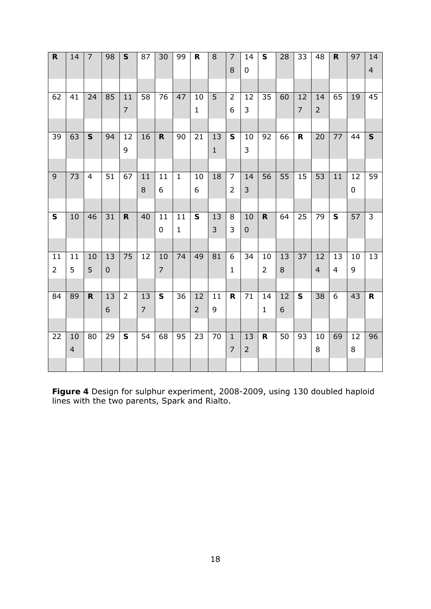| $\mathbf R$    | 14             | $\overline{7}$ | 98              | $\mathsf{S}$   | 87             | 30             | 99              | $\mathsf{R}$   | 8              | $\overline{7}$ | 14               | $\mathsf{s}$   | 28              | 33              | 48             | $\mathsf R$    | 97        | 14                      |
|----------------|----------------|----------------|-----------------|----------------|----------------|----------------|-----------------|----------------|----------------|----------------|------------------|----------------|-----------------|-----------------|----------------|----------------|-----------|-------------------------|
|                |                |                |                 |                |                |                |                 |                |                | 8              | $\pmb{0}$        |                |                 |                 |                |                |           | $\overline{4}$          |
|                |                |                |                 |                |                |                |                 |                |                |                |                  |                |                 |                 |                |                |           |                         |
| 62             | 41             | 24             | 85              | 11             | 58             | 76             | 47              | 10             | $\overline{5}$ | $\overline{2}$ | 12               | 35             | 60              | 12              | 14             | 65             | 19        | 45                      |
|                |                |                |                 | $\overline{7}$ |                |                |                 | $\mathbf{1}$   |                | 6              | 3                |                |                 | $\overline{7}$  | $\overline{2}$ |                |           |                         |
|                |                |                |                 |                |                |                |                 |                |                |                |                  |                |                 |                 |                |                |           |                         |
| 39             | 63             | $\mathsf{s}$   | 94              | 12             | 16             | $\mathsf{R}$   | 90              | 21             | 13             | $\mathsf{s}$   | 10               | 92             | 66              | $\mathsf{R}$    | 20             | 77             | 44        | $\mathsf{s}$            |
|                |                |                |                 | 9              |                |                |                 |                | $\mathbf{1}$   |                | 3                |                |                 |                 |                |                |           |                         |
|                |                |                |                 |                |                |                |                 |                |                |                |                  |                |                 |                 |                |                |           |                         |
| $\overline{9}$ | 73             | $\overline{4}$ | 51              | 67             | 11             | 11             | $\mathbf{1}$    | 10             | 18             | $\overline{7}$ | 14               | 56             | 55              | 15              | 53             | 11             | 12        | 59                      |
|                |                |                |                 |                | 8              | 6              |                 | 6              |                | $\overline{2}$ | 3                |                |                 |                 |                |                | $\pmb{0}$ |                         |
|                |                |                |                 |                |                |                |                 |                |                |                |                  |                |                 |                 |                |                |           |                         |
| $\mathsf{s}$   | 10             | 46             | $\overline{31}$ | $\mathbf R$    | 40             | 11             | 11              | $\mathsf{s}$   | 13             | 8              | 10               | $\mathsf{R}$   | 64              | 25              | 79             | $\mathsf{s}$   | 57        | $\overline{\mathbf{3}}$ |
|                |                |                |                 |                |                | 0              | $\mathbf{1}$    |                | $\overline{3}$ | 3              | $\boldsymbol{0}$ |                |                 |                 |                |                |           |                         |
|                |                |                |                 |                |                |                |                 |                |                |                |                  |                |                 |                 |                |                |           |                         |
| 11             | 11<br>5        | 10             | 13              | 75             | 12             | 10             | 74              | 49             | 81             | 6              | 34               | 10             | 13              | $\overline{37}$ | 12             | 13             | 10        | 13                      |
| $\overline{2}$ |                | 5              | $\mathbf 0$     |                |                | $\overline{7}$ |                 |                |                | $\mathbf{1}$   |                  | $\overline{2}$ | $\,8\,$         |                 | $\overline{4}$ | $\overline{4}$ | 9         |                         |
| 84             | 89             | $\mathbf R$    | 13              | $\overline{2}$ | 13             | $\mathsf{s}$   | $\overline{36}$ | 12             | 11             | R              | 71               | 14             | $\overline{12}$ | $\mathsf{s}$    | 38             | $\overline{6}$ | 43        | $\mathbf R$             |
|                |                |                | 6               |                | $\overline{7}$ |                |                 | $\overline{2}$ | 9              |                |                  | $\mathbf{1}$   | 6               |                 |                |                |           |                         |
|                |                |                |                 |                |                |                |                 |                |                |                |                  |                |                 |                 |                |                |           |                         |
| 22             | 10             | 80             | 29              | $\mathsf{s}$   | 54             | 68             | 95              | 23             | 70             | $\mathbf{1}$   | 13               | $\mathsf{R}$   | 50              | 93              | 10             | 69             | 12        | 96                      |
|                | $\overline{4}$ |                |                 |                |                |                |                 |                |                | $\overline{7}$ | $\overline{2}$   |                |                 |                 | $\,8\,$        |                | 8         |                         |
|                |                |                |                 |                |                |                |                 |                |                |                |                  |                |                 |                 |                |                |           |                         |
|                |                |                |                 |                |                |                |                 |                |                |                |                  |                |                 |                 |                |                |           |                         |

**Figure 4** Design for sulphur experiment, 2008-2009, using 130 doubled haploid lines with the two parents, Spark and Rialto.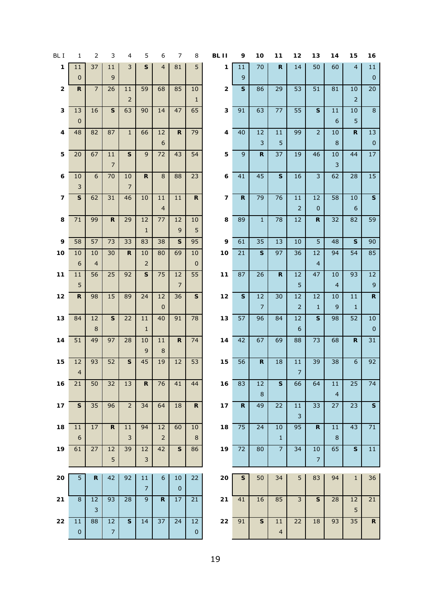| BL I         | 1                             | 2                    | 3                    | 4                    | 5                        | 6                     | 7                    | 8                 | BL II                   | 9            | 10                   | 11                   | 12                       | 13                      | 14                    | 15                   | 16                  |
|--------------|-------------------------------|----------------------|----------------------|----------------------|--------------------------|-----------------------|----------------------|-------------------|-------------------------|--------------|----------------------|----------------------|--------------------------|-------------------------|-----------------------|----------------------|---------------------|
| $\mathbf{1}$ | 11<br>$\pmb{0}$               | 37                   | 11<br>$\mathsf 9$    | 3                    | ${\sf s}$                | $\overline{4}$        | 81                   | 5                 | 1                       | 11<br>9      | 70                   | $\mathsf{R}$         | 14                       | 50                      | 60                    | $\overline{4}$       | $11\,$<br>$\pmb{0}$ |
| $\mathbf 2$  | ${\sf R}$                     | $\overline{7}$       | 26                   | 11<br>$\overline{2}$ | 59                       | 68                    | 85                   | 10<br>$1\,$       | $\mathbf{2}$            | $\mathbf{s}$ | 86                   | 29                   | 53                       | 51                      | 81                    | 10<br>$\overline{2}$ | 20                  |
| $\mathbf 3$  | 13<br>$\pmb{0}$               | 16                   | $\mathbf{s}$         | 63                   | 90                       | 14                    | 47                   | 65                | 3                       | 91           | 63                   | 77                   | 55                       | ${\sf S}$               | 11<br>$6\phantom{1}6$ | 10<br>5              | $\bf 8$             |
| 4            | 48                            | 82                   | 87                   | $\mathbf{1}$         | 66                       | 12<br>$6\phantom{1}6$ | $\mathbf R$          | 79                | 4                       | 40           | 12<br>$\overline{3}$ | 11<br>5              | 99                       | $\overline{2}$          | 10<br>8               | $\mathbf R$          | 13<br>$\pmb{0}$     |
| 5            | 20                            | 67                   | 11<br>$\overline{7}$ | $\mathbf{s}$         | 9                        | 72                    | 43                   | 54                | 5                       | 9            | $\mathbf R$          | 37                   | 19                       | 46                      | 10<br>3               | 44                   | $17\,$              |
| 6            | 10<br>$\mathsf{3}$            | $6\phantom{a}$       | 70                   | 10<br>$\overline{7}$ | $\mathsf{R}$             | $\, 8$                | 88                   | 23                | 6                       | 41           | 45                   | $\mathsf S$          | 16                       | $\overline{\mathbf{3}}$ | 62                    | 28                   | 15                  |
| 7            | $\mathsf{s}$                  | 62                   | 31                   | 46                   | 10                       | 11<br>$\overline{4}$  | 11                   | $\mathsf{R}$      | $\overline{\mathbf{z}}$ | $\mathsf{R}$ | 79                   | 76                   | 11<br>$\overline{2}$     | 12<br>$\pmb{0}$         | 58                    | 10<br>$6\,$          | $\mathsf{s}$        |
| 8            | $71\,$                        | 99                   | $\mathsf{R}$         | 29                   | 12<br>$\mathbf 1$        | 77                    | 12<br>$\overline{9}$ | 10<br>5           | 8                       | 89           | $\mathbf{1}$         | 78                   | 12                       | $\mathbf R$             | 32                    | 82                   | 59                  |
| 9            | 58                            | 57                   | 73                   | 33                   | 83                       | 38                    | ${\sf s}$            | 95                | 9                       | 61           | 35                   | 13                   | 10                       | 5                       | 48                    | ${\sf s}$            | 90                  |
| 10           | 10<br>$\boldsymbol{6}$        | 10<br>$\overline{4}$ | 30                   | $\mathsf{R}$         | 10<br>$\overline{2}$     | 80                    | 69                   | 10<br>$\mathbf 0$ | 10                      | 21           | $\mathsf{s}$         | 97                   | 36                       | 12<br>$\overline{4}$    | 94                    | 54                   | 85                  |
| 11           | 11                            | 56                   | 25                   | 92                   | $\mathsf{s}$             | 75                    | 12                   | 55                | $11$                    | 87           | 26                   | $\mathbf R$          | 12                       | 47                      | 10                    | 93                   | 12                  |
|              | 5                             |                      |                      |                      |                          |                       | $\overline{7}$       |                   |                         |              |                      |                      | 5                        |                         | $\overline{4}$        |                      | 9                   |
| $12$         | $\mathsf{R}$                  | 98                   | 15                   | 89                   | 24                       | 12<br>$\pmb{0}$       | 36                   | $\mathbf{s}$      | 12                      | $\mathbf{s}$ | 12<br>$\overline{7}$ | 30                   | 12<br>$\mathsf{2}\,$     | 12<br>$\mathbf{1}$      | 10<br>$\overline{9}$  | 11<br>$\mathbf 1$    | ${\bf R}$           |
| 13           | 84                            | 12                   | S                    | 22                   | 11                       | 40                    | 91                   | 78                | 13                      | 57           | 96                   | 84                   | 12                       | $\mathbf S$             | 98                    | 52                   | $10\,$              |
|              |                               | $\bf 8$              |                      |                      | $\mathbf{1}$             |                       |                      |                   |                         |              |                      |                      | $\boldsymbol{6}$         |                         |                       |                      | $\pmb{0}$           |
| 14           | 51                            | 49                   | 97                   | 28                   | $10\,$<br>9              | 11<br>$\, 8$          | $\mathsf{R}$         | 74                | 14                      | 42           | 67                   | 69                   | 88                       | 73                      | 68                    | $\mathbf R$          | 31                  |
| 15           | 12<br>$\overline{\mathbf{4}}$ | 93                   | 52                   | S                    | 45                       | 19                    | 12                   | 53                | 15                      | 56           | $\mathsf{R}$         | 18                   | $11\,$<br>$\overline{7}$ | 39                      | 38                    | $6\phantom{a}$       | 92                  |
| 16           | 21                            | 50                   | 32                   | 13                   | R                        | 76                    | 41                   | 44                | 16                      | 83           | 12<br>8              | $\mathbf{s}$         | 66                       | 64                      | 11<br>$\overline{4}$  | 25                   | 74                  |
| $17$         | ${\sf s}$                     | 35                   | 96                   | 2 <sup>1</sup>       | 34                       | 64                    | 18                   | $\mathsf{R}$      | $17$                    | $\mathbf R$  | 49                   | 22                   | $11\,$<br>3              | 33                      | 27                    | 23                   | ${\sf s}$           |
| 18           | 11                            | $17\,$               | $\mathsf{R}$         | $11\,$               | 94                       | 12                    | 60                   | $10$              | 18                      | 75           | 24                   | $10\,$               | 95                       | $\mathbf R$             | 11                    | 43                   | 71                  |
|              | $\boldsymbol{6}$              |                      |                      | 3                    |                          | $\overline{2}$        |                      | $\,8\,$           |                         |              |                      | $\mathbf 1$          |                          |                         | 8                     |                      |                     |
| 19           | 61                            | 27                   | 12<br>5              | 39                   | 12<br>$\mathsf 3$        | 42                    | ${\sf s}$            | 86                | 19                      | 72           | 80                   | $\overline{7}$       | 34                       | 10<br>$\overline{7}$    | 65                    | ${\sf s}$            | 11                  |
|              |                               |                      |                      |                      |                          |                       |                      |                   |                         |              |                      |                      |                          |                         |                       |                      |                     |
| 20           | 5                             | $\mathsf{R}$         | 42                   | 92                   | $11\,$<br>$\overline{7}$ | $\boldsymbol{6}$      | 10<br>$\mathbf 0$    | 22                | 20                      | $\mathbf{s}$ | 50                   | 34                   | 5                        | 83                      | 94                    | $\mathbf{1}$         | 36                  |
| 21           | $\overline{8}$                | 12                   | 93                   | $\overline{28}$      | $\overline{9}$           | $\mathbf R$           | 17                   | 21                | 21                      | 41           | 16                   | 85                   | $\overline{3}$           | $\overline{\mathbf{s}}$ | 28                    | 12                   | $\overline{21}$     |
|              |                               | $\mathsf{3}$         |                      |                      |                          |                       |                      |                   |                         |              |                      |                      |                          |                         |                       | 5                    |                     |
| 22           | 11<br>$\pmb{0}$               | 88                   | 12<br>$\overline{7}$ | S                    | 14                       | 37                    | 24                   | 12<br>$\pmb{0}$   | ${\bf 22}$              | 91           | S                    | 11<br>$\overline{4}$ | 22                       | 18                      | 93                    | 35                   | $\mathbf R$         |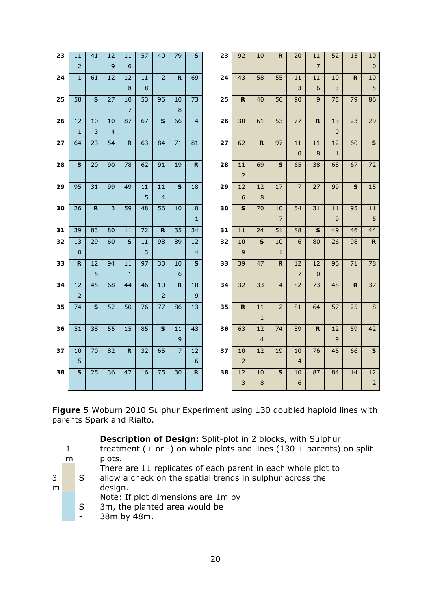| 23 | 11             | 41           | 12             | 11             | 57              | 40             | 79              | $\mathbf{s}$   | 23 | 92                      | 10             | ${\sf R}$      | 20               | 11             | 52             | 13              | 10              |
|----|----------------|--------------|----------------|----------------|-----------------|----------------|-----------------|----------------|----|-------------------------|----------------|----------------|------------------|----------------|----------------|-----------------|-----------------|
|    | $\overline{2}$ |              | 9              | 6              |                 |                |                 |                |    |                         |                |                |                  | $\overline{7}$ |                |                 | $\mathbf 0$     |
| 24 | $\mathbf 1$    | 61           | 12             | 12             | 11              | $\overline{2}$ | $\mathbf R$     | 69             | 24 | 43                      | 58             | 55             | 11               | 11             | 10             | $\mathsf{R}$    | 10              |
|    |                |              |                | 8              | 8               |                |                 |                |    |                         |                |                | 3                | 6              | 3              |                 | 5               |
| 25 | 58             | $\mathbf{s}$ | 27             | $10\,$         | 53              | 96             | 10              | 73             | 25 | $\mathsf{R}$            | 40             | 56             | 90               | $\mathsf 9$    | 75             | 79              | 86              |
|    |                |              |                | $\overline{7}$ |                 |                | 8               |                |    |                         |                |                |                  |                |                |                 |                 |
| 26 | 12             | 10           | 10             | 87             | 67              | $\mathsf{s}$   | 66              | $\overline{4}$ | 26 | 30                      | 61             | 53             | 77               | ${\sf R}$      | 13             | 23              | 29              |
|    | $\mathbf{1}$   | 3            | $\overline{4}$ |                |                 |                |                 |                |    |                         |                |                |                  |                | $\overline{0}$ |                 |                 |
| 27 | 64             | 23           | 54             | $\mathsf{R}$   | 63              | 84             | 71              | 81             | 27 | 62                      | ${\bf R}$      | 97             | 11               | 11             | 12             | 60              | $\mathsf{s}$    |
|    |                |              |                |                |                 |                |                 |                |    |                         |                |                | $\pmb{0}$        | 8              | $\mathbf{1}$   |                 |                 |
| 28 | S              | 20           | 90             | 78             | 62              | 91             | 19              | $\mathbf{R}$   | 28 | 11                      | 69             | $\mathsf{s}$   | 65               | 38             | 68             | 67              | 72              |
|    |                |              |                |                |                 |                |                 |                |    | $\overline{2}$          |                |                |                  |                |                |                 |                 |
| 29 | 95             | 31           | 99             | 49             | 11              | 11             | $\mathsf{s}$    | 18             | 29 | 12                      | 12             | 17             | $\overline{7}$   | 27             | 99             | ${\sf s}$       | 15              |
|    |                |              |                |                | 5               | $\overline{4}$ |                 |                |    | $6\phantom{1}6$         | $\,8\,$        |                |                  |                |                |                 |                 |
| 30 | 26             | R.           | 3              | 59             | 48              | 56             | 10              | 10             | 30 | $\mathbf{s}$            | 70             | 10             | 54               | 31             | 11             | 95              | 11              |
|    |                |              |                |                |                 |                |                 | $\mathbf{1}$   |    |                         |                | $\overline{7}$ |                  |                | 9              |                 | 5               |
| 31 | 39             | 83           | 80             | 11             | 72              | $\mathsf{R}$   | $\overline{35}$ | 34             | 31 | 11                      | 24             | 51             | 88               | $\mathsf{s}$   | 49             | 46              | 44              |
| 32 | 13             | 29           | 60             | $\mathbf{s}$   | 11              | 98             | 89              | 12             | 32 | 10                      | $\mathbf{s}$   | 10             | $\boldsymbol{6}$ | 80             | 26             | 98              | ${\bf R}$       |
|    | $\mathbf{0}$   |              |                |                | $\overline{3}$  |                |                 | $\overline{4}$ |    | 9                       |                | $\mathbf 1$    |                  |                |                |                 |                 |
| 33 | $\mathsf{R}$   | 12           | 94             | 11             | 97              | 33             | 10              | $\mathbf{s}$   | 33 | 39                      | 47             | $\mathbf R$    | 12               | 12             | 96             | 71              | 78              |
|    |                | 5            |                | $\mathbf{1}$   |                 |                | 6               |                |    |                         |                |                | $\overline{7}$   | $\pmb{0}$      |                |                 |                 |
| 34 | 12             | 45           | 68             | 44             | 46              | $10\,$         | $\mathbf R$     | 10             | 34 | 32                      | 33             | $\overline{4}$ | 82               | 73             | 48             | ${\sf R}$       | $\overline{37}$ |
|    | $\overline{2}$ |              |                |                |                 | $\overline{2}$ |                 | 9              |    |                         |                |                |                  |                |                |                 |                 |
| 35 | 74             | $\mathbf{s}$ | 52             | 50             | $\overline{76}$ | 77             | 86              | 13             | 35 | R                       | 11             | $\overline{2}$ | 81               | 64             | 57             | $\overline{25}$ | $\overline{8}$  |
|    |                |              |                |                |                 |                |                 |                |    |                         | $\mathbf{1}$   |                |                  |                |                |                 |                 |
| 36 | 51             | 38           | 55             | 15             | 85              | $\mathsf{s}$   | 11              | 43             | 36 | 63                      | 12             | 74             | 89               | $\mathbf R$    | 12             | 59              | 42              |
|    |                |              |                |                |                 |                | 9               |                |    |                         | $\overline{4}$ |                |                  |                | 9              |                 |                 |
| 37 | 10             | 70           | 82             | $\mathbf R$    | 32              | 65             | $\overline{7}$  | 12             | 37 | 10                      | 12             | 19             | 10               | 76             | 45             | 66              | $\mathbf{s}$    |
|    | 5              |              |                |                |                 |                |                 | 6              |    | 2                       |                |                | $\overline{4}$   |                |                |                 |                 |
| 38 | S              | 25           | 36             | 47             | 16              | 75             | 30              | R.             | 38 | 12                      | 10             | $\mathbf{s}$   | 10               | 87             | 84             | 14              | 12              |
|    |                |              |                |                |                 |                |                 |                |    | $\overline{\mathbf{3}}$ | $\,8\,$        |                | $\epsilon$       |                |                |                 | $\mathsf{2}$    |

**Figure 5** Woburn 2010 Sulphur Experiment using 130 doubled haploid lines with parents Spark and Rialto.

|   |   |       | Description of Design: Split-plot in 2 blocks, with Sulphur            |
|---|---|-------|------------------------------------------------------------------------|
|   | 1 |       | treatment (+ or -) on whole plots and lines $(130 +$ parents) on split |
|   | m |       | plots.                                                                 |
|   |   |       | There are 11 replicates of each parent in each whole plot to           |
| 3 |   | S.    | allow a check on the spatial trends in sulphur across the              |
| m |   | $\pm$ | design.                                                                |
|   |   |       | Note: If plot dimensions are 1m by                                     |
|   |   | S     | 3m, the planted area would be                                          |
|   |   |       | 38m by 48m.                                                            |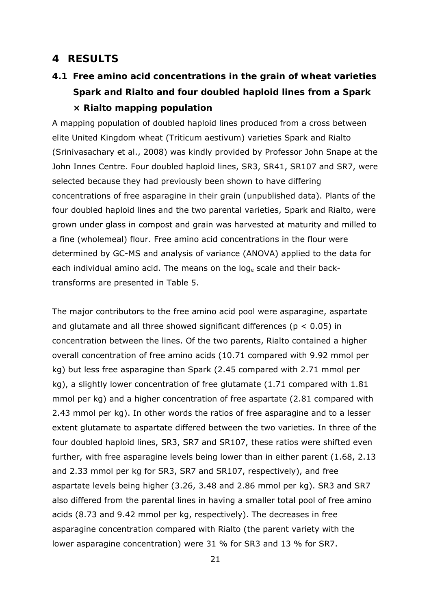### **4 RESULTS**

**4.1 Free amino acid concentrations in the grain of wheat varieties Spark and Rialto and four doubled haploid lines from a Spark × Rialto mapping population** 

A mapping population of doubled haploid lines produced from a cross between elite United Kingdom wheat (*Triticum aestivum*) varieties Spark and Rialto (Srinivasachary *et al*., 2008) was kindly provided by Professor John Snape at the John Innes Centre. Four doubled haploid lines, SR3, SR41, SR107 and SR7, were selected because they had previously been shown to have differing concentrations of free asparagine in their grain (unpublished data). Plants of the four doubled haploid lines and the two parental varieties, Spark and Rialto, were grown under glass in compost and grain was harvested at maturity and milled to a fine (wholemeal) flour. Free amino acid concentrations in the flour were determined by GC-MS and analysis of variance (ANOVA) applied to the data for each individual amino acid. The means on the loge scale and their backtransforms are presented in Table 5.

The major contributors to the free amino acid pool were asparagine, aspartate and glutamate and all three showed significant differences ( $p < 0.05$ ) in concentration between the lines. Of the two parents, Rialto contained a higher overall concentration of free amino acids (10.71 compared with 9.92 mmol per kg) but less free asparagine than Spark (2.45 compared with 2.71 mmol per kg), a slightly lower concentration of free glutamate (1.71 compared with 1.81 mmol per kg) and a higher concentration of free aspartate (2.81 compared with 2.43 mmol per kg). In other words the ratios of free asparagine and to a lesser extent glutamate to aspartate differed between the two varieties. In three of the four doubled haploid lines, SR3, SR7 and SR107, these ratios were shifted even further, with free asparagine levels being lower than in either parent (1.68, 2.13 and 2.33 mmol per kg for SR3, SR7 and SR107, respectively), and free aspartate levels being higher (3.26, 3.48 and 2.86 mmol per kg). SR3 and SR7 also differed from the parental lines in having a smaller total pool of free amino acids (8.73 and 9.42 mmol per kg, respectively). The decreases in free asparagine concentration compared with Rialto (the parent variety with the lower asparagine concentration) were 31 % for SR3 and 13 % for SR7.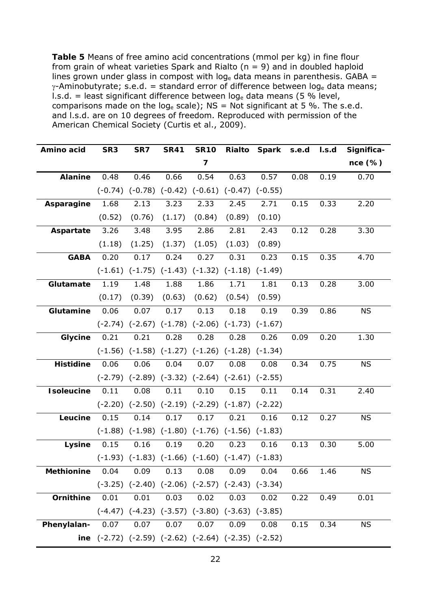**Table 5** Means of free amino acid concentrations (mmol per kg) in fine flour from grain of wheat varieties Spark and Rialto (*n* = 9) and in doubled haploid lines grown under glass in compost with  $log_e$  data means in parenthesis. GABA =  $\gamma$ -Aminobutyrate; s.e.d. = standard error of difference between loge data means; l.s.d. = least significant difference between  $log_e$  data means (5 % level, comparisons made on the log<sub>e</sub> scale);  $NS = Not$  significant at 5 %. The s.e.d. and l.s.d. are on 10 degrees of freedom. Reproduced with permission of the American Chemical Society (Curtis *et al*., 2009).

| Amino acid        | SR <sub>3</sub>                                                 | SR7                                                         | <b>SR41</b> | <b>SR10</b> | Rialto | Spark s.e.d |      | I.s.d | Significa- |
|-------------------|-----------------------------------------------------------------|-------------------------------------------------------------|-------------|-------------|--------|-------------|------|-------|------------|
|                   |                                                                 |                                                             |             | 7           |        |             |      |       | $nce$ (%)  |
| <b>Alanine</b>    | 0.48                                                            | 0.46                                                        | 0.66        | 0.54        | 0.63   | 0.57        | 0.08 | 0.19  | 0.70       |
|                   |                                                                 | $(-0.74)$ $(-0.78)$ $(-0.42)$ $(-0.61)$ $(-0.47)$ $(-0.55)$ |             |             |        |             |      |       |            |
| Asparagine        | 1.68                                                            | 2.13                                                        | 3.23        | 2.33        | 2.45   | 2.71        | 0.15 | 0.33  | 2.20       |
|                   | (0.52)                                                          | (0.76)                                                      | (1.17)      | (0.84)      | (0.89) | (0.10)      |      |       |            |
| Aspartate         | 3.26                                                            | 3.48                                                        | 3.95        | 2.86        | 2.81   | 2.43        | 0.12 | 0.28  | 3.30       |
|                   | (1.18)                                                          | (1.25)                                                      | (1.37)      | (1.05)      | (1.03) | (0.89)      |      |       |            |
| <b>GABA</b>       | 0.20                                                            | 0.17                                                        | 0.24        | 0.27        | 0.31   | 0.23        | 0.15 | 0.35  | 4.70       |
|                   |                                                                 | $(-1.61)$ $(-1.75)$ $(-1.43)$ $(-1.32)$ $(-1.18)$ $(-1.49)$ |             |             |        |             |      |       |            |
| Glutamate         | 1.19                                                            | 1.48                                                        | 1.88        | 1.86        | 1.71   | 1.81        | 0.13 | 0.28  | 3.00       |
|                   | (0.17)                                                          | (0.39)                                                      | (0.63)      | (0.62)      | (0.54) | (0.59)      |      |       |            |
| Glutamine         | 0.06                                                            | 0.07                                                        | 0.17        | 0.13        | 0.18   | 0.19        | 0.39 | 0.86  | <b>NS</b>  |
|                   |                                                                 | $(-2.74)$ $(-2.67)$ $(-1.78)$ $(-2.06)$ $(-1.73)$ $(-1.67)$ |             |             |        |             |      |       |            |
| Glycine           | 0.21                                                            | 0.21                                                        | 0.28        | 0.28        | 0.28   | 0.26        | 0.09 | 0.20  | 1.30       |
|                   |                                                                 | $(-1.56)$ $(-1.58)$ $(-1.27)$ $(-1.26)$ $(-1.28)$ $(-1.34)$ |             |             |        |             |      |       |            |
| <b>Histidine</b>  | 0.06                                                            | 0.06                                                        | 0.04        | 0.07        | 0.08   | 0.08        | 0.34 | 0.75  | <b>NS</b>  |
|                   |                                                                 | $(-2.79)$ $(-2.89)$ $(-3.32)$ $(-2.64)$ $(-2.61)$ $(-2.55)$ |             |             |        |             |      |       |            |
| <b>Isoleucine</b> | 0.11                                                            | 0.08                                                        | 0.11        | 0.10        | 0.15   | 0.11        | 0.14 | 0.31  | 2.40       |
|                   |                                                                 | $(-2.20)$ $(-2.50)$ $(-2.19)$ $(-2.29)$ $(-1.87)$ $(-2.22)$ |             |             |        |             |      |       |            |
| Leucine           | 0.15                                                            | 0.14                                                        | 0.17        | 0.17        | 0.21   | 0.16        | 0.12 | 0.27  | <b>NS</b>  |
|                   |                                                                 | $(-1.88)$ $(-1.98)$ $(-1.80)$ $(-1.76)$ $(-1.56)$ $(-1.83)$ |             |             |        |             |      |       |            |
| Lysine            | 0.15                                                            | 0.16                                                        | 0.19        | 0.20        | 0.23   | 0.16        | 0.13 | 0.30  | 5.00       |
|                   |                                                                 | $(-1.93)$ $(-1.83)$ $(-1.66)$ $(-1.60)$ $(-1.47)$ $(-1.83)$ |             |             |        |             |      |       |            |
| <b>Methionine</b> | 0.04                                                            | 0.09                                                        | 0.13        | 0.08        | 0.09   | 0.04        | 0.66 | 1.46  | <b>NS</b>  |
|                   |                                                                 | $(-3.25)$ $(-2.40)$ $(-2.06)$ $(-2.57)$ $(-2.43)$ $(-3.34)$ |             |             |        |             |      |       |            |
| Ornithine         | 0.01                                                            | 0.01                                                        | 0.03        | 0.02        | 0.03   | 0.02        | 0.22 | 0.49  | 0.01       |
|                   |                                                                 | $(-4.47)$ $(-4.23)$ $(-3.57)$ $(-3.80)$ $(-3.63)$ $(-3.85)$ |             |             |        |             |      |       |            |
| Phenylalan-       | 0.07                                                            | 0.07                                                        | 0.07        | 0.07        | 0.09   | 0.08        | 0.15 | 0.34  | <b>NS</b>  |
|                   | ine $(-2.72)$ $(-2.59)$ $(-2.62)$ $(-2.64)$ $(-2.35)$ $(-2.52)$ |                                                             |             |             |        |             |      |       |            |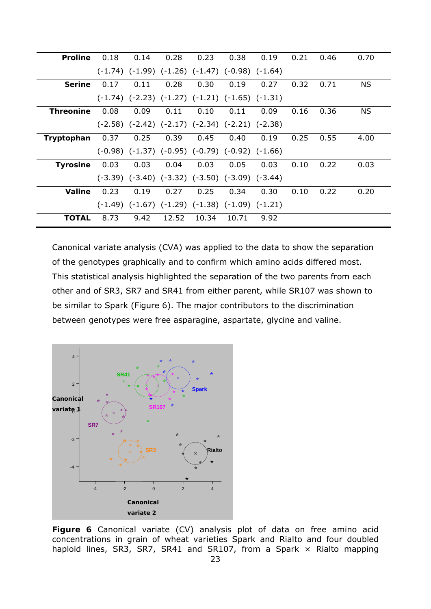| <b>Proline</b>   | 0.18 | 0.14 | 0.28  | 0.23  | 0.38                                                        | 0.19 | 0.21 | 0.46 | 0.70      |
|------------------|------|------|-------|-------|-------------------------------------------------------------|------|------|------|-----------|
|                  |      |      |       |       | $(-1.74)$ $(-1.99)$ $(-1.26)$ $(-1.47)$ $(-0.98)$ $(-1.64)$ |      |      |      |           |
| <b>Serine</b>    | 0.17 | 0.11 | 0.28  | 0.30  | 0.19                                                        | 0.27 | 0.32 | 0.71 | <b>NS</b> |
|                  |      |      |       |       | $(-1.74)$ $(-2.23)$ $(-1.27)$ $(-1.21)$ $(-1.65)$ $(-1.31)$ |      |      |      |           |
| <b>Threonine</b> | 0.08 | 0.09 | 0.11  | 0.10  | 0.11                                                        | 0.09 | 0.16 | 0.36 | <b>NS</b> |
|                  |      |      |       |       | $(-2.58)$ $(-2.42)$ $(-2.17)$ $(-2.34)$ $(-2.21)$ $(-2.38)$ |      |      |      |           |
| Tryptophan       | 0.37 | 0.25 | 0.39  | 0.45  | 0.40                                                        | 0.19 | 0.25 | 0.55 | 4.00      |
|                  |      |      |       |       | $(-0.98)$ $(-1.37)$ $(-0.95)$ $(-0.79)$ $(-0.92)$ $(-1.66)$ |      |      |      |           |
| <b>Tyrosine</b>  | 0.03 | 0.03 | 0.04  | 0.03  | 0.05                                                        | 0.03 | 0.10 | 0.22 | 0.03      |
|                  |      |      |       |       | $(-3.39)$ $(-3.40)$ $(-3.32)$ $(-3.50)$ $(-3.09)$ $(-3.44)$ |      |      |      |           |
| Valine           | 0.23 | 0.19 | 0.27  | 0.25  | 0.34                                                        | 0.30 | 0.10 | 0.22 | 0.20      |
|                  |      |      |       |       | $(-1.49)$ $(-1.67)$ $(-1.29)$ $(-1.38)$ $(-1.09)$ $(-1.21)$ |      |      |      |           |
| <b>TOTAL</b>     | 8.73 | 9.42 | 12.52 | 10.34 | 10.71                                                       | 9.92 |      |      |           |

Canonical variate analysis (CVA) was applied to the data to show the separation of the genotypes graphically and to confirm which amino acids differed most. This statistical analysis highlighted the separation of the two parents from each other and of SR3, SR7 and SR41 from either parent, while SR107 was shown to be similar to Spark (Figure 6). The major contributors to the discrimination between genotypes were free asparagine, aspartate, glycine and valine.



**Figure 6** Canonical variate (CV) analysis plot of data on free amino acid concentrations in grain of wheat varieties Spark and Rialto and four doubled haploid lines, SR3, SR7, SR41 and SR107, from a Spark  $\times$  Rialto mapping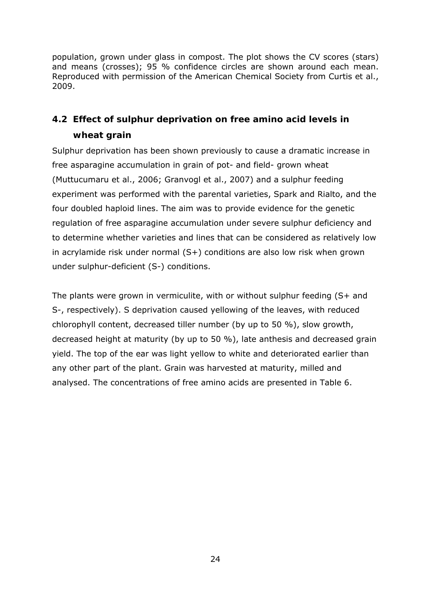population, grown under glass in compost. The plot shows the CV scores (stars) and means (crosses); 95 % confidence circles are shown around each mean. Reproduced with permission of the American Chemical Society from Curtis *et al*., 2009.

# **4.2 Effect of sulphur deprivation on free amino acid levels in wheat grain**

Sulphur deprivation has been shown previously to cause a dramatic increase in free asparagine accumulation in grain of pot- and field- grown wheat (Muttucumaru *et al*., 2006; Granvogl *et al*., 2007) and a sulphur feeding experiment was performed with the parental varieties, Spark and Rialto, and the four doubled haploid lines. The aim was to provide evidence for the genetic regulation of free asparagine accumulation under severe sulphur deficiency and to determine whether varieties and lines that can be considered as relatively low in acrylamide risk under normal (S+) conditions are also low risk when grown under sulphur-deficient (S-) conditions.

The plants were grown in vermiculite, with or without sulphur feeding (S+ and S-, respectively). S deprivation caused yellowing of the leaves, with reduced chlorophyll content, decreased tiller number (by up to 50 %), slow growth, decreased height at maturity (by up to 50 %), late anthesis and decreased grain yield. The top of the ear was light yellow to white and deteriorated earlier than any other part of the plant. Grain was harvested at maturity, milled and analysed. The concentrations of free amino acids are presented in Table 6.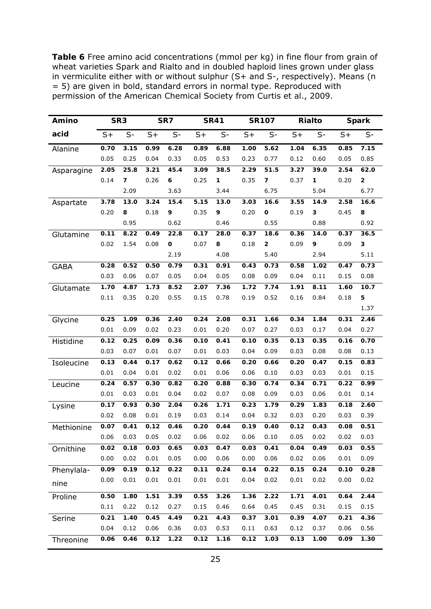**Table 6** Free amino acid concentrations (mmol per kg) in fine flour from grain of wheat varieties Spark and Rialto and in doubled haploid lines grown under glass in vermiculite either with or without sulphur (S+ and S-, respectively). Means (*n* = 5) are given in bold, standard errors in normal type. Reproduced with permission of the American Chemical Society from Curtis *et al*., 2009.

| Amino       | SR <sub>3</sub> |                         |      | SR7  |      | <b>SR41</b> |      | <b>SR107</b>            |      | <b>Rialto</b> |      | <b>Spark</b> |
|-------------|-----------------|-------------------------|------|------|------|-------------|------|-------------------------|------|---------------|------|--------------|
| acid        | $S+$            | $S-$                    | $S+$ | $S-$ | $S+$ | $S-$        | $S+$ | $S-$                    | $S+$ | $S-$          | $S+$ | $S-$         |
| Alanine     | 0.70            | 3.15                    | 0.99 | 6.28 | 0.89 | 6.88        | 1.00 | 5.62                    | 1.04 | 6.35          | 0.85 | 7.15         |
|             | 0.05            | 0.25                    | 0.04 | 0.33 | 0.05 | 0.53        | 0.23 | 0.77                    | 0.12 | 0.60          | 0.05 | 0.85         |
| Asparagine  | 2.05            | 25.8                    | 3.21 | 45.4 | 3.09 | 38.5        | 2.29 | 51.5                    | 3.27 | 39.0          | 2.54 | 62.0         |
|             | 0.14            | $\overline{\mathbf{z}}$ | 0.26 | 6    | 0.25 | 1           | 0.35 | $\overline{\mathbf{z}}$ | 0.37 | 1             | 0.20 | 2            |
|             |                 | 2.09                    |      | 3.63 |      | 3.44        |      | 6.75                    |      | 5.04          |      | 6.77         |
| Aspartate   | 3.78            | 13.0                    | 3.24 | 15.4 | 5.15 | 13.0        | 3.03 | 16.6                    | 3.55 | 14.9          | 2.58 | 16.6         |
|             | 0.20            | 8                       | 0.18 | 9    | 0.35 | 9           | 0.20 | O                       | 0.19 | 3             | 0.45 | 8            |
|             |                 | 0.95                    |      | 0.62 |      | 0.46        |      | 0.55                    |      | 0.88          |      | 0.92         |
| Glutamine   | 0.11            | 8.22                    | 0.49 | 22.8 | 0.17 | 28.0        | 0.37 | 18.6                    | 0.36 | 14.0          | 0.37 | 36.5         |
|             | 0.02            | 1.54                    | 0.08 | O    | 0.07 | 8           | 0.18 | $\overline{2}$          | 0.09 | 9             | 0.09 | 3            |
|             |                 |                         |      | 2.19 |      | 4.08        |      | 5.40                    |      | 2.94          |      | 5.11         |
| <b>GABA</b> | 0.28            | 0.52                    | 0.50 | 0.79 | 0.31 | 0.91        | 0.43 | 0.73                    | 0.58 | 1.02          | 0.47 | 0.73         |
|             | 0.03            | 0.06                    | 0.07 | 0.05 | 0.04 | 0.05        | 0.08 | 0.09                    | 0.04 | 0.11          | 0.15 | 0.08         |
| Glutamate   | 1.70            | 4.87                    | 1.73 | 8.52 | 2.07 | 7.36        | 1.72 | 7.74                    | 1.91 | 8.11          | 1.60 | 10.7         |
|             | 0.11            | 0.35                    | 0.20 | 0.55 | 0.15 | 0.78        | 0.19 | 0.52                    | 0.16 | 0.84          | 0.18 | 5            |
|             |                 |                         |      |      |      |             |      |                         |      |               |      | 1.37         |
| Glycine     | 0.25            | 1.09                    | 0.36 | 2.40 | 0.24 | 2.08        | 0.31 | 1.66                    | 0.34 | 1.84          | 0.31 | 2.46         |
|             | 0.01            | 0.09                    | 0.02 | 0.23 | 0.01 | 0.20        | 0.07 | 0.27                    | 0.03 | 0.17          | 0.04 | 0.27         |
| Histidine   | 0.12            | 0.25                    | 0.09 | 0.36 | 0.10 | 0.41        | 0.10 | 0.35                    | 0.13 | 0.35          | 0.16 | 0.70         |
|             | 0.03            | 0.07                    | 0.01 | 0.07 | 0.01 | 0.03        | 0.04 | 0.09                    | 0.03 | 0.08          | 0.08 | 0.13         |
| Isoleucine  | 0.13            | 0.44                    | 0.17 | 0.62 | 0.12 | 0.66        | 0.20 | 0.66                    | 0.20 | 0.47          | 0.15 | 0.83         |
|             | 0.01            | 0.04                    | 0.01 | 0.02 | 0.01 | 0.06        | 0.06 | 0.10                    | 0.03 | 0.03          | 0.01 | 0.15         |
| Leucine     | 0.24            | 0.57                    | 0.30 | 0.82 | 0.20 | 0.88        | 0.30 | 0.74                    | 0.34 | 0.71          | 0.22 | 0.99         |
|             | 0.01            | 0.03                    | 0.01 | 0.04 | 0.02 | 0.07        | 0.08 | 0.09                    | 0.03 | 0.06          | 0.01 | 0.14         |
| Lysine      | 0.17            | 0.93                    | 0.30 | 2.04 | 0.26 | 1.71        | 0.23 | 1.79                    | 0.29 | 1.83          | 0.18 | 2.60         |
|             | 0.02            | 0.08                    | 0.01 | 0.19 | 0.03 | 0.14        | 0.04 | 0.32                    | 0.03 | 0.20          | 0.03 | 0.39         |
| Methionine  | 0.07            | 0.41                    | 0.12 | 0.46 | 0.20 | 0.44        | 0.19 | 0.40                    | 0.12 | 0.43          | 0.08 | 0.51         |
|             | 0.06            | 0.03                    | 0.05 | 0.02 | 0.06 | 0.02        | 0.06 | 0.10                    | 0.05 | 0.02          | 0.02 | 0.03         |
| Ornithine   | 0.02            | 0.18                    | 0.03 | 0.65 | 0.03 | 0.47        | 0.03 | 0.41                    | 0.04 | 0.49          | 0.03 | 0.55         |
|             | 0.00            | 0.02                    | 0.01 | 0.05 | 0.00 | 0.06        | 0.00 | 0.06                    | 0.02 | 0.06          | 0.01 | 0.09         |
| Phenylala-  | 0.09            | 0.19                    | 0.12 | 0.22 | 0.11 | 0.24        | 0.14 | 0.22                    | 0.15 | 0.24          | 0.10 | 0.28         |
| nine        | 0.00            | 0.01                    | 0.01 | 0.01 | 0.01 | 0.01        | 0.04 | 0.02                    | 0.01 | 0.02          | 0.00 | 0.02         |
| Proline     | 0.50            | 1.80                    | 1.51 | 3.39 | 0.55 | 3.26        | 1.36 | 2.22                    | 1.71 | 4.01          | 0.64 | 2.44         |
|             | 0.11            | 0.22                    | 0.12 | 0.27 | 0.15 | 0.46        | 0.64 | 0.45                    | 0.45 | 0.31          | 0.15 | 0.15         |
| Serine      | 0.21            | 1.40                    | 0.45 | 4.49 | 0.21 | 4.43        | 0.37 | 3.01                    | 0.39 | 4.07          | 0.21 | 4.36         |
|             | 0.04            | 0.12                    | 0.06 | 0.36 | 0.03 | 0.53        | 0.11 | 0.63                    | 0.12 | 0.37          | 0.06 | 0.56         |
| Threonine   | 0.06            | 0.46                    | 0.12 | 1.22 | 0.12 | 1.16        | 0.12 | 1.03                    | 0.13 | 1.00          | 0.09 | 1.30         |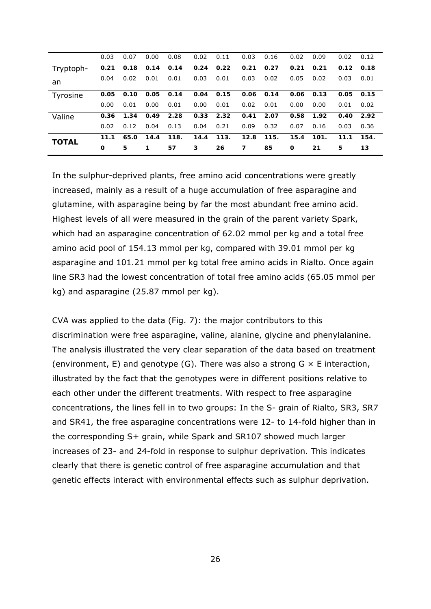|              | 0.03 | 0.07 | 0.00 | 0.08 | 0.02 | 0.11 | 0.03 | 0.16 | 0.02 | 0.09 | 0.02 | 0.12 |
|--------------|------|------|------|------|------|------|------|------|------|------|------|------|
| Tryptoph-    | 0.21 | 0.18 | 0.14 | 0.14 | 0.24 | 0.22 | 0.21 | 0.27 | 0.21 | 0.21 | 0.12 | 0.18 |
| an           | 0.04 | 0.02 | 0.01 | 0.01 | 0.03 | 0.01 | 0.03 | 0.02 | 0.05 | 0.02 | 0.03 | 0.01 |
| Tyrosine     | 0.05 | 0.10 | 0.05 | 0.14 | 0.04 | 0.15 | 0.06 | 0.14 | 0.06 | 0.13 | 0.05 | 0.15 |
|              | 0.00 | 0.01 | 0.00 | 0.01 | 0.00 | 0.01 | 0.02 | 0.01 | 0.00 | 0.00 | 0.01 | 0.02 |
| Valine       | 0.36 | 1.34 | 0.49 | 2.28 | 0.33 | 2.32 | 0.41 | 2.07 | 0.58 | 1.92 | 0.40 | 2.92 |
|              | 0.02 | 0.12 | 0.04 | 0.13 | 0.04 | 0.21 | 0.09 | 0.32 | 0.07 | 0.16 | 0.03 | 0.36 |
| <b>TOTAL</b> | 11.1 | 65.0 | 14.4 | 118. | 14.4 | 113. | 12.8 | 115. | 15.4 | 101. | 11.1 | 154. |
|              | O    | 5    | 1    | 57   | 3    | 26   | 7    | 85   | 0    | 21   | 5    | 13   |

In the sulphur-deprived plants, free amino acid concentrations were greatly increased, mainly as a result of a huge accumulation of free asparagine and glutamine, with asparagine being by far the most abundant free amino acid. Highest levels of all were measured in the grain of the parent variety Spark, which had an asparagine concentration of 62.02 mmol per kg and a total free amino acid pool of 154.13 mmol per kg, compared with 39.01 mmol per kg asparagine and 101.21 mmol per kg total free amino acids in Rialto. Once again line SR3 had the lowest concentration of total free amino acids (65.05 mmol per kg) and asparagine (25.87 mmol per kg).

CVA was applied to the data (Fig. 7): the major contributors to this discrimination were free asparagine, valine, alanine, glycine and phenylalanine. The analysis illustrated the very clear separation of the data based on treatment (environment, E) and genotype (G). There was also a strong  $G \times E$  interaction, illustrated by the fact that the genotypes were in different positions relative to each other under the different treatments. With respect to free asparagine concentrations, the lines fell in to two groups: In the S- grain of Rialto, SR3, SR7 and SR41, the free asparagine concentrations were 12- to 14-fold higher than in the corresponding S+ grain, while Spark and SR107 showed much larger increases of 23- and 24-fold in response to sulphur deprivation. This indicates clearly that there is genetic control of free asparagine accumulation and that genetic effects interact with environmental effects such as sulphur deprivation.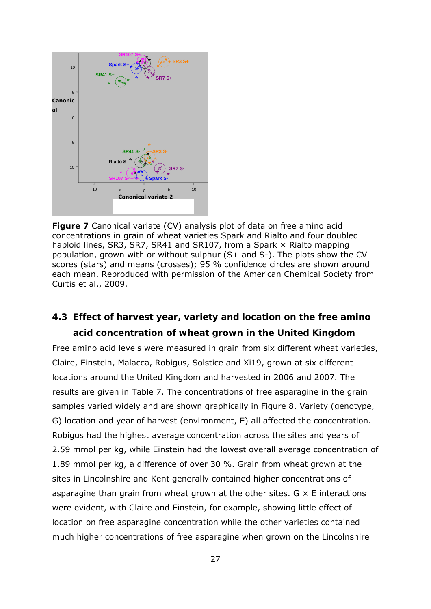

**Figure 7** Canonical variate (CV) analysis plot of data on free amino acid concentrations in grain of wheat varieties Spark and Rialto and four doubled haploid lines, SR3, SR7, SR41 and SR107, from a Spark × Rialto mapping population, grown with or without sulphur (S+ and S-). The plots show the CV scores (stars) and means (crosses); 95 % confidence circles are shown around each mean. Reproduced with permission of the American Chemical Society from Curtis *et al*., 2009.

# **4.3 Effect of harvest year, variety and location on the free amino acid concentration of wheat grown in the United Kingdom**

Free amino acid levels were measured in grain from six different wheat varieties, Claire, Einstein, Malacca, Robigus, Solstice and Xi19, grown at six different locations around the United Kingdom and harvested in 2006 and 2007. The results are given in Table 7. The concentrations of free asparagine in the grain samples varied widely and are shown graphically in Figure 8. Variety (genotype, G) location and year of harvest (environment, E) all affected the concentration. Robigus had the highest average concentration across the sites and years of 2.59 mmol per kg, while Einstein had the lowest overall average concentration of 1.89 mmol per kg, a difference of over 30 %. Grain from wheat grown at the sites in Lincolnshire and Kent generally contained higher concentrations of asparagine than grain from wheat grown at the other sites.  $G \times E$  interactions were evident, with Claire and Einstein, for example, showing little effect of location on free asparagine concentration while the other varieties contained much higher concentrations of free asparagine when grown on the Lincolnshire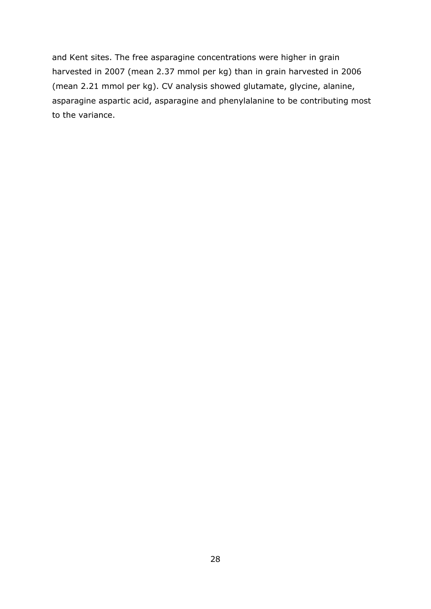and Kent sites. The free asparagine concentrations were higher in grain harvested in 2007 (mean 2.37 mmol per kg) than in grain harvested in 2006 (mean 2.21 mmol per kg). CV analysis showed glutamate, glycine, alanine, asparagine aspartic acid, asparagine and phenylalanine to be contributing most to the variance.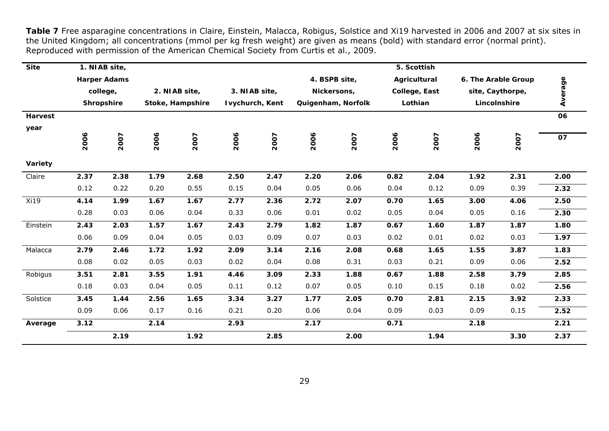**Table 7** Free asparagine concentrations in Claire, Einstein, Malacca, Robigus, Solstice and Xi19 harvested in 2006 and 2007 at six sites in the United Kingdom; all concentrations (mmol per kg fresh weight) are given as means (bold) with standard error (normal print). Reproduced with permission of the American Chemical Society from Curtis *et al*., 2009.

| <b>Site</b>    |      | 1. NIAB site,       |      |                  |      |                 |      |                    |      | 5. Scottish   |      |                     |         |
|----------------|------|---------------------|------|------------------|------|-----------------|------|--------------------|------|---------------|------|---------------------|---------|
|                |      | <b>Harper Adams</b> |      |                  |      |                 |      | 4. BSPB site,      |      | Agricultural  |      | 6. The Arable Group |         |
|                |      | college,            |      | 2. NIAB site,    |      | 3. NIAB site,   |      | Nickersons,        |      | College, East |      | site, Caythorpe,    | Average |
|                |      | <b>Shropshire</b>   |      | Stoke, Hampshire |      | Ivychurch, Kent |      | Quigenham, Norfolk |      | Lothian       |      | Lincolnshire        |         |
| <b>Harvest</b> |      |                     |      |                  |      |                 |      |                    |      |               |      |                     | 06      |
| year           |      |                     |      |                  |      |                 |      |                    |      |               |      |                     |         |
|                | 2006 | 2007                | 2006 | 2007             | 2006 | 2007            | 2006 | 2007               | 2006 | 2007          | 2006 | 2007                | 07      |
| Variety        |      |                     |      |                  |      |                 |      |                    |      |               |      |                     |         |
| Claire         | 2.37 | 2.38                | 1.79 | 2.68             | 2.50 | 2.47            | 2.20 | 2.06               | 0.82 | 2.04          | 1.92 | 2.31                | 2.00    |
|                | 0.12 | 0.22                | 0.20 | 0.55             | 0.15 | 0.04            | 0.05 | 0.06               | 0.04 | 0.12          | 0.09 | 0.39                | 2.32    |
| Xi19           | 4.14 | 1.99                | 1.67 | 1.67             | 2.77 | 2.36            | 2.72 | 2.07               | 0.70 | 1.65          | 3.00 | 4.06                | 2.50    |
|                | 0.28 | 0.03                | 0.06 | 0.04             | 0.33 | 0.06            | 0.01 | 0.02               | 0.05 | 0.04          | 0.05 | 0.16                | 2.30    |
| Einstein       | 2.43 | 2.03                | 1.57 | 1.67             | 2.43 | 2.79            | 1.82 | 1.87               | 0.67 | 1.60          | 1.87 | 1.87                | 1.80    |
|                | 0.06 | 0.09                | 0.04 | 0.05             | 0.03 | 0.09            | 0.07 | 0.03               | 0.02 | 0.01          | 0.02 | 0.03                | 1.97    |
| Malacca        | 2.79 | 2.46                | 1.72 | 1.92             | 2.09 | 3.14            | 2.16 | 2.08               | 0.68 | 1.65          | 1.55 | 3.87                | 1.83    |
|                | 0.08 | 0.02                | 0.05 | 0.03             | 0.02 | 0.04            | 0.08 | 0.31               | 0.03 | 0.21          | 0.09 | 0.06                | 2.52    |
| Robigus        | 3.51 | 2.81                | 3.55 | 1.91             | 4.46 | 3.09            | 2.33 | 1.88               | 0.67 | 1.88          | 2.58 | 3.79                | 2.85    |
|                | 0.18 | 0.03                | 0.04 | 0.05             | 0.11 | 0.12            | 0.07 | 0.05               | 0.10 | 0.15          | 0.18 | 0.02                | 2.56    |
| Solstice       | 3.45 | 1.44                | 2.56 | 1.65             | 3.34 | 3.27            | 1.77 | 2.05               | 0.70 | 2.81          | 2.15 | 3.92                | 2.33    |
|                | 0.09 | 0.06                | 0.17 | 0.16             | 0.21 | 0.20            | 0.06 | 0.04               | 0.09 | 0.03          | 0.09 | 0.15                | 2.52    |
| Average        | 3.12 |                     | 2.14 |                  | 2.93 |                 | 2.17 |                    | 0.71 |               | 2.18 |                     | 2.21    |
|                |      | 2.19                |      | 1.92             |      | 2.85            |      | 2.00               |      | 1.94          |      | 3.30                | 2.37    |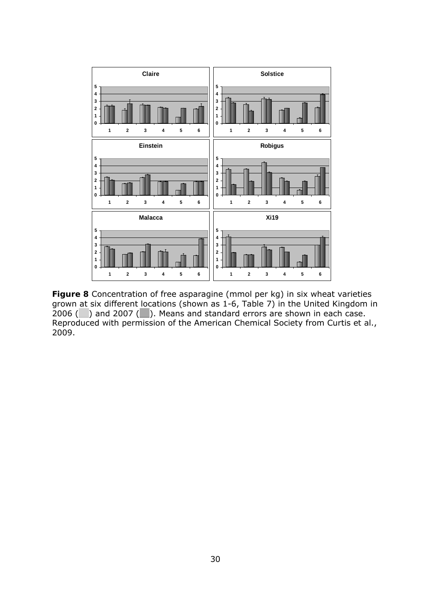

**Figure 8** Concentration of free asparagine (mmol per kg) in six wheat varieties grown at six different locations (shown as 1-6, Table 7) in the United Kingdom in 2006 ( $\Box$ ) and 2007 ( $\Box$ ). Means and standard errors are shown in each case. Reproduced with permission of the American Chemical Society from Curtis *et al*., 2009.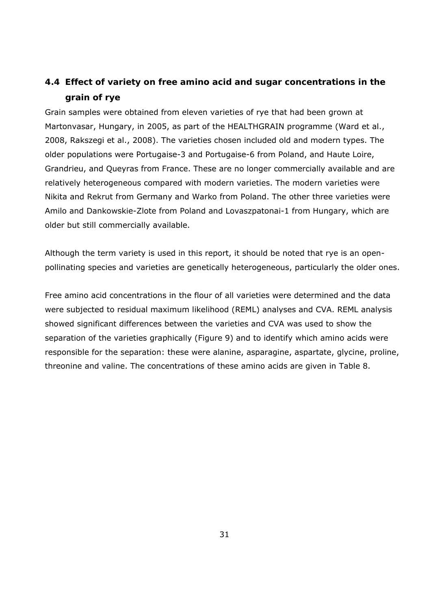# **4.4 Effect of variety on free amino acid and sugar concentrations in the grain of rye**

Grain samples were obtained from eleven varieties of rye that had been grown at Martonvasar, Hungary, in 2005, as part of the HEALTHGRAIN programme (Ward et al., 2008, Rakszegi et al., 2008). The varieties chosen included old and modern types. The older populations were Portugaise-3 and Portugaise-6 from Poland, and Haute Loire, Grandrieu, and Queyras from France. These are no longer commercially available and are relatively heterogeneous compared with modern varieties. The modern varieties were Nikita and Rekrut from Germany and Warko from Poland. The other three varieties were Amilo and Dankowskie-Zlote from Poland and Lovaszpatonai-1 from Hungary, which are older but still commercially available.

Although the term variety is used in this report, it should be noted that rye is an openpollinating species and varieties are genetically heterogeneous, particularly the older ones.

Free amino acid concentrations in the flour of all varieties were determined and the data were subjected to residual maximum likelihood (REML) analyses and CVA. REML analysis showed significant differences between the varieties and CVA was used to show the separation of the varieties graphically (Figure 9) and to identify which amino acids were responsible for the separation: these were alanine, asparagine, aspartate, glycine, proline, threonine and valine. The concentrations of these amino acids are given in Table 8.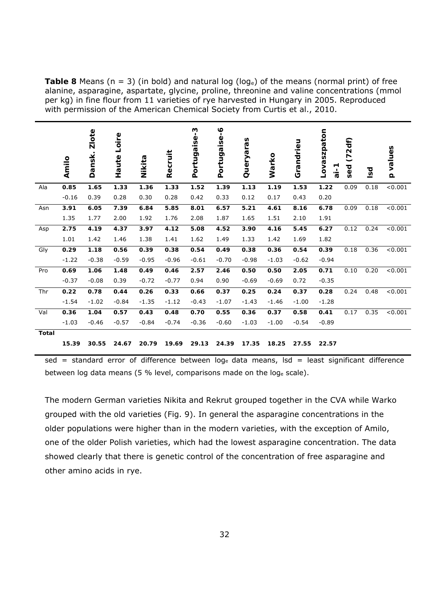**Table 8** Means ( $n = 3$ ) (in bold) and natural log (loge) of the means (normal print) of free alanine, asparagine, aspartate, glycine, proline, threonine and valine concentrations (mmol per kg) in fine flour from 11 varieties of rye harvested in Hungary in 2005. Reproduced with permission of the American Chemical Society from Curtis *et al*., 2010.

|              | Amilo   | <b>Zlote</b><br>Dansk. | Loire<br>Haute | Nikita  | Recruit | Portugaise-3 | Portugaise-6 | Queryaras | Warko   | Grandrieu | Lovaszpaton<br>$i-i$ | (72df)<br>sed | Isd  | values<br>$\Omega$ |
|--------------|---------|------------------------|----------------|---------|---------|--------------|--------------|-----------|---------|-----------|----------------------|---------------|------|--------------------|
| Ala          | 0.85    | 1.65                   | 1.33           | 1.36    | 1.33    | 1.52         | 1.39         | 1.13      | 1.19    | 1.53      | 1.22                 | 0.09          | 0.18 | < 0.001            |
|              | $-0.16$ | 0.39                   | 0.28           | 0.30    | 0.28    | 0.42         | 0.33         | 0.12      | 0.17    | 0.43      | 0.20                 |               |      |                    |
| Asn          | 3.91    | 6.05                   | 7.39           | 6.84    | 5.85    | 8.01         | 6.57         | 5.21      | 4.61    | 8.16      | 6.78                 | 0.09          | 0.18 | < 0.001            |
|              | 1.35    | 1.77                   | 2.00           | 1.92    | 1.76    | 2.08         | 1.87         | 1.65      | 1.51    | 2.10      | 1.91                 |               |      |                    |
| Asp          | 2.75    | 4.19                   | 4.37           | 3.97    | 4.12    | 5.08         | 4.52         | 3.90      | 4.16    | 5.45      | 6.27                 | 0.12          | 0.24 | < 0.001            |
|              | 1.01    | 1.42                   | 1.46           | 1.38    | 1.41    | 1.62         | 1.49         | 1.33      | 1.42    | 1.69      | 1.82                 |               |      |                    |
| Gly          | 0.29    | 1.18                   | 0.56           | 0.39    | 0.38    | 0.54         | 0.49         | 0.38      | 0.36    | 0.54      | 0.39                 | 0.18          | 0.36 | < 0.001            |
|              | $-1.22$ | $-0.38$                | $-0.59$        | $-0.95$ | $-0.96$ | $-0.61$      | $-0.70$      | $-0.98$   | $-1.03$ | $-0.62$   | $-0.94$              |               |      |                    |
| Pro          | 0.69    | 1.06                   | 1.48           | 0.49    | 0.46    | 2.57         | 2.46         | 0.50      | 0.50    | 2.05      | 0.71                 | 0.10          | 0.20 | < 0.001            |
|              | $-0.37$ | $-0.08$                | 0.39           | $-0.72$ | $-0.77$ | 0.94         | 0.90         | $-0.69$   | $-0.69$ | 0.72      | $-0.35$              |               |      |                    |
| Thr          | 0.22    | 0.78                   | 0.44           | 0.26    | 0.33    | 0.66         | 0.37         | 0.25      | 0.24    | 0.37      | 0.28                 | 0.24          | 0.48 | < 0.001            |
|              | $-1.54$ | $-1.02$                | $-0.84$        | $-1.35$ | $-1.12$ | $-0.43$      | $-1.07$      | $-1.43$   | $-1.46$ | $-1.00$   | $-1.28$              |               |      |                    |
| Val          | 0.36    | 1.04                   | 0.57           | 0.43    | 0.48    | 0.70         | 0.55         | 0.36      | 0.37    | 0.58      | 0.41                 | 0.17          | 0.35 | < 0.001            |
|              | $-1.03$ | $-0.46$                | $-0.57$        | $-0.84$ | $-0.74$ | $-0.36$      | $-0.60$      | $-1.03$   | $-1.00$ | $-0.54$   | $-0.89$              |               |      |                    |
| <b>Total</b> |         |                        |                |         |         |              |              |           |         |           |                      |               |      |                    |
|              | 15.39   | 30.55                  | 24.67          | 20.79   | 19.69   | 29.13        | 24.39        | 17.35     | 18.25   | 27.55     | 22.57                |               |      |                    |

 $sed = standard error of difference between log<sub>e</sub> data means,  $Isd = least significant difference$$ between log data means (5 % level, comparisons made on the loge scale).

The modern German varieties Nikita and Rekrut grouped together in the CVA while Warko grouped with the old varieties (Fig. 9). In general the asparagine concentrations in the older populations were higher than in the modern varieties, with the exception of Amilo, one of the older Polish varieties, which had the lowest asparagine concentration. The data showed clearly that there is genetic control of the concentration of free asparagine and other amino acids in rye.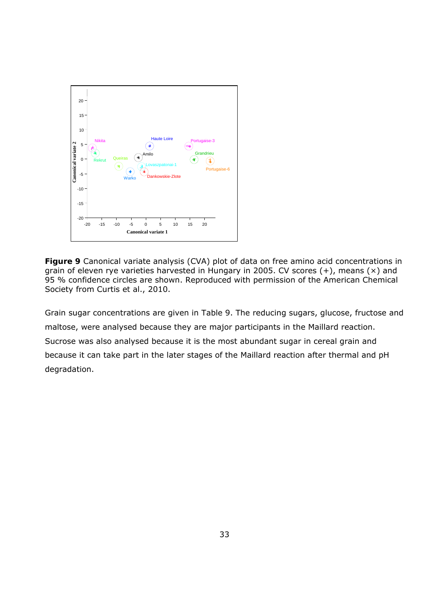

**Figure 9** Canonical variate analysis (CVA) plot of data on free amino acid concentrations in grain of eleven rye varieties harvested in Hungary in 2005. CV scores (+), means (×) and 95 % confidence circles are shown. Reproduced with permission of the American Chemical Society from Curtis *et al*., 2010.

Grain sugar concentrations are given in Table 9. The reducing sugars, glucose, fructose and maltose, were analysed because they are major participants in the Maillard reaction. Sucrose was also analysed because it is the most abundant sugar in cereal grain and because it can take part in the later stages of the Maillard reaction after thermal and pH degradation.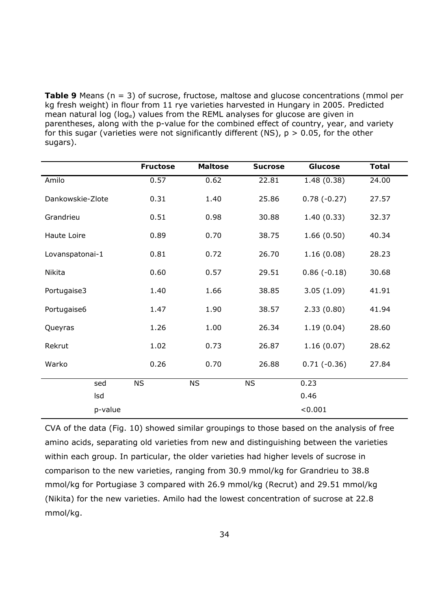**Table 9** Means (*n* = 3) of sucrose, fructose, maltose and glucose concentrations (mmol per kg fresh weight) in flour from 11 rye varieties harvested in Hungary in 2005. Predicted mean natural log (loge) values from the REML analyses for glucose are given in parentheses, along with the p-value for the combined effect of country, year, and variety for this sugar (varieties were not significantly different (NS),  $p > 0.05$ , for the other sugars).

|                  | <b>Fructose</b> | <b>Maltose</b> | <b>Sucrose</b> | <b>Glucose</b> | <b>Total</b> |
|------------------|-----------------|----------------|----------------|----------------|--------------|
| Amilo            | 0.57            | 0.62           | 22.81          | 1.48(0.38)     | 24.00        |
| Dankowskie-Zlote | 0.31            | 1.40           | 25.86          | $0.78(-0.27)$  | 27.57        |
| Grandrieu        | 0.51            | 0.98           | 30.88          | 1.40(0.33)     | 32.37        |
| Haute Loire      | 0.89            | 0.70           | 38.75          | 1.66(0.50)     | 40.34        |
| Lovanspatonai-1  | 0.81            | 0.72           | 26.70          | 1.16(0.08)     | 28.23        |
| Nikita           | 0.60            | 0.57           | 29.51          | $0.86(-0.18)$  | 30.68        |
| Portugaise3      | 1.40            | 1.66           | 38.85          | 3.05(1.09)     | 41.91        |
| Portugaise6      | 1.47            | 1.90           | 38.57          | 2.33(0.80)     | 41.94        |
| Queyras          | 1.26            | 1.00           | 26.34          | 1.19(0.04)     | 28.60        |
| Rekrut           | 1.02            | 0.73           | 26.87          | 1.16(0.07)     | 28.62        |
| Warko            | 0.26            | 0.70           | 26.88          | $0.71(-0.36)$  | 27.84        |
| sed              | <b>NS</b>       | <b>NS</b>      | <b>NS</b>      | 0.23           |              |
| Isd              |                 |                |                | 0.46           |              |
| p-value          |                 |                |                | < 0.001        |              |

CVA of the data (Fig. 10) showed similar groupings to those based on the analysis of free amino acids, separating old varieties from new and distinguishing between the varieties within each group. In particular, the older varieties had higher levels of sucrose in comparison to the new varieties, ranging from 30.9 mmol/kg for Grandrieu to 38.8 mmol/kg for Portugiase 3 compared with 26.9 mmol/kg (Recrut) and 29.51 mmol/kg (Nikita) for the new varieties. Amilo had the lowest concentration of sucrose at 22.8 mmol/kg.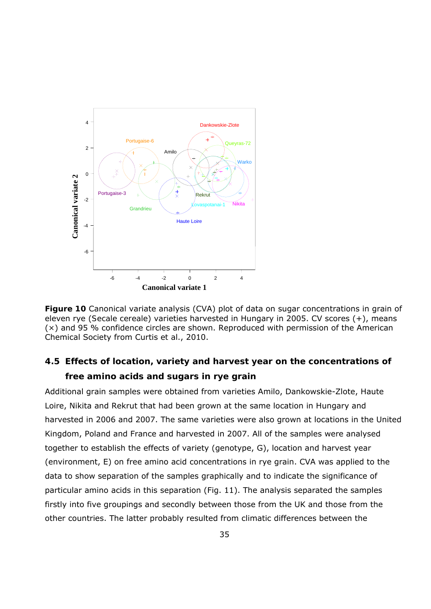

**Figure 10** Canonical variate analysis (CVA) plot of data on sugar concentrations in grain of eleven rye (*Secale cereale*) varieties harvested in Hungary in 2005. CV scores (+), means (×) and 95 % confidence circles are shown. Reproduced with permission of the American Chemical Society from Curtis *et al*., 2010.

## **4.5 Effects of location, variety and harvest year on the concentrations of free amino acids and sugars in rye grain**

Additional grain samples were obtained from varieties Amilo, Dankowskie-Zlote, Haute Loire, Nikita and Rekrut that had been grown at the same location in Hungary and harvested in 2006 and 2007. The same varieties were also grown at locations in the United Kingdom, Poland and France and harvested in 2007. All of the samples were analysed together to establish the effects of variety (genotype, G), location and harvest year (environment, E) on free amino acid concentrations in rye grain. CVA was applied to the data to show separation of the samples graphically and to indicate the significance of particular amino acids in this separation (Fig. 11). The analysis separated the samples firstly into five groupings and secondly between those from the UK and those from the other countries. The latter probably resulted from climatic differences between the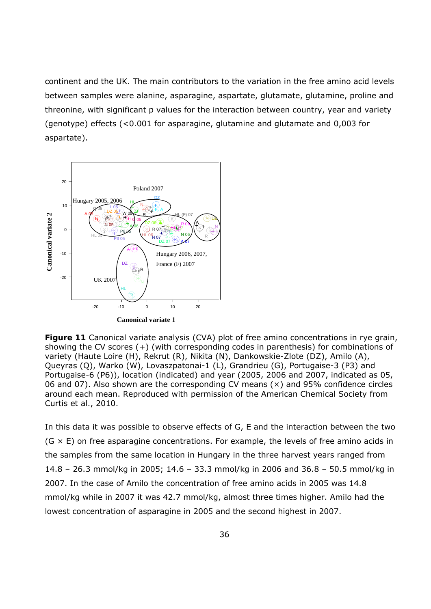continent and the UK. The main contributors to the variation in the free amino acid levels between samples were alanine, asparagine, aspartate, glutamate, glutamine, proline and threonine, with significant p values for the interaction between country, year and variety (genotype) effects (<0.001 for asparagine, glutamine and glutamate and 0,003 for aspartate).



**Figure 11** Canonical variate analysis (CVA) plot of free amino concentrations in rye grain, showing the CV scores (+) (with corresponding codes in parenthesis) for combinations of variety (Haute Loire (H), Rekrut (R), Nikita (N), Dankowskie-Zlote (DZ), Amilo (A), Queyras (Q), Warko (W), Lovaszpatonai-1 (L), Grandrieu (G), Portugaise-3 (P3) and Portugaise-6 (P6)), location (indicated) and year (2005, 2006 and 2007, indicated as 05, 06 and 07). Also shown are the corresponding CV means  $(x)$  and 95% confidence circles around each mean. Reproduced with permission of the American Chemical Society from Curtis *et al*., 2010.

In this data it was possible to observe effects of G, E and the interaction between the two  $(G \times E)$  on free asparagine concentrations. For example, the levels of free amino acids in the samples from the same location in Hungary in the three harvest years ranged from 14.8 – 26.3 mmol/kg in 2005; 14.6 – 33.3 mmol/kg in 2006 and 36.8 – 50.5 mmol/kg in 2007. In the case of Amilo the concentration of free amino acids in 2005 was 14.8 mmol/kg while in 2007 it was 42.7 mmol/kg, almost three times higher. Amilo had the lowest concentration of asparagine in 2005 and the second highest in 2007.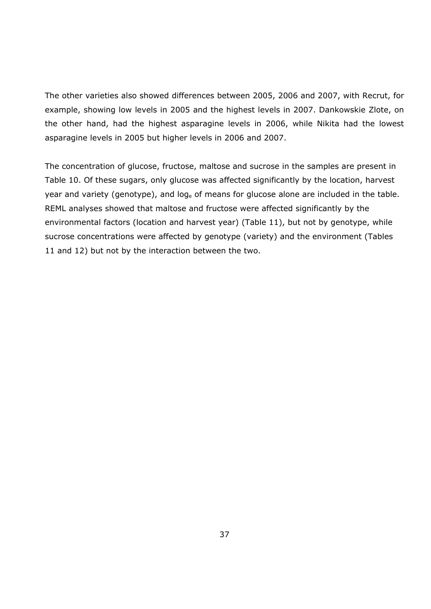The other varieties also showed differences between 2005, 2006 and 2007, with Recrut, for example, showing low levels in 2005 and the highest levels in 2007. Dankowskie Zlote, on the other hand, had the highest asparagine levels in 2006, while Nikita had the lowest asparagine levels in 2005 but higher levels in 2006 and 2007.

The concentration of glucose, fructose, maltose and sucrose in the samples are present in Table 10. Of these sugars, only glucose was affected significantly by the location, harvest year and variety (genotype), and loge of means for glucose alone are included in the table. REML analyses showed that maltose and fructose were affected significantly by the environmental factors (location and harvest year) (Table 11), but not by genotype, while sucrose concentrations were affected by genotype (variety) and the environment (Tables 11 and 12) but not by the interaction between the two.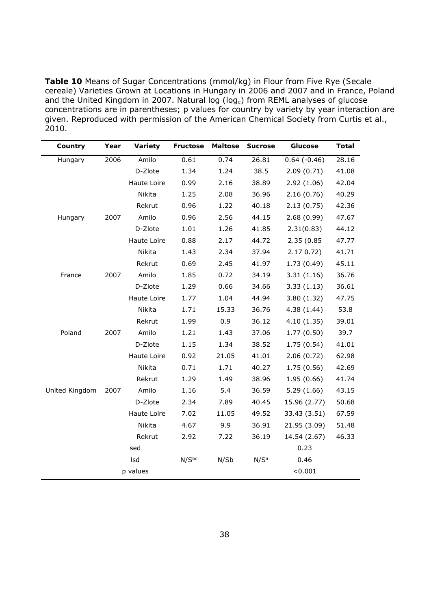**Table 10** Means of Sugar Concentrations (mmol/kg) in Flour from Five Rye (*Secale cereale*) Varieties Grown at Locations in Hungary in 2006 and 2007 and in France, Poland and the United Kingdom in 2007. Natural log (loge) from REML analyses of glucose concentrations are in parentheses; p values for country by variety by year interaction are given. Reproduced with permission of the American Chemical Society from Curtis *et al*., 2010.

| Country        | Year | Variety     | Fructose          | <b>Maltose</b> | <b>Sucrose</b>   | Glucose       | <b>Total</b> |
|----------------|------|-------------|-------------------|----------------|------------------|---------------|--------------|
| Hungary        | 2006 | Amilo       | 0.61              | 0.74           | 26.81            | $0.64(-0.46)$ | 28.16        |
|                |      | D-Zlote     | 1.34              | 1.24           | 38.5             | 2.09(0.71)    | 41.08        |
|                |      | Haute Loire | 0.99              | 2.16           | 38.89            | 2.92(1.06)    | 42.04        |
|                |      | Nikita      | 1.25              | 2.08           | 36.96            | 2.16(0.76)    | 40.29        |
|                |      | Rekrut      | 0.96              | 1.22           | 40.18            | 2.13(0.75)    | 42.36        |
| Hungary        | 2007 | Amilo       | 0.96              | 2.56           | 44.15            | 2.68(0.99)    | 47.67        |
|                |      | D-Zlote     | 1.01              | 1.26           | 41.85            | 2.31(0.83)    | 44.12        |
|                |      | Haute Loire | 0.88              | 2.17           | 44.72            | 2.35 (0.85    | 47.77        |
|                |      | Nikita      | 1.43              | 2.34           | 37.94            | 2.170.72      | 41.71        |
|                |      | Rekrut      | 0.69              | 2.45           | 41.97            | 1.73(0.49)    | 45.11        |
| France         | 2007 | Amilo       | 1.85              | 0.72           | 34.19            | 3.31(1.16)    | 36.76        |
|                |      | D-Zlote     | 1.29              | 0.66           | 34.66            | 3.33(1.13)    | 36.61        |
|                |      | Haute Loire | 1.77              | 1.04           | 44.94            | 3.80(1.32)    | 47.75        |
|                |      | Nikita      | 1.71              | 15.33          | 36.76            | 4.38(1.44)    | 53.8         |
|                |      | Rekrut      | 1.99              | 0.9            | 36.12            | 4.10(1.35)    | 39.01        |
| Poland         | 2007 | Amilo       | 1.21              | 1.43           | 37.06            | 1.77(0.50)    | 39.7         |
|                |      | D-Zlote     | 1.15              | 1.34           | 38.52            | 1.75(0.54)    | 41.01        |
|                |      | Haute Loire | 0.92              | 21.05          | 41.01            | 2.06(0.72)    | 62.98        |
|                |      | Nikita      | 0.71              | 1.71           | 40.27            | 1.75(0.56)    | 42.69        |
|                |      | Rekrut      | 1.29              | 1.49           | 38.96            | 1.95(0.66)    | 41.74        |
| United Kingdom | 2007 | Amilo       | 1.16              | 5.4            | 36.59            | 5.29(1.66)    | 43.15        |
|                |      | D-Zlote     | 2.34              | 7.89           | 40.45            | 15.96 (2.77)  | 50.68        |
|                |      | Haute Loire | 7.02              | 11.05          | 49.52            | 33.43 (3.51)  | 67.59        |
|                |      | Nikita      | 4.67              | 9.9            | 36.91            | 21.95 (3.09)  | 51.48        |
|                |      | Rekrut      | 2.92              | 7.22           | 36.19            | 14.54 (2.67)  | 46.33        |
|                |      | sed         |                   |                |                  | 0.23          |              |
|                |      | Isd         | N/S <sub>pc</sub> | N/Sb           | N/S <sup>a</sup> | 0.46          |              |
|                |      | p values    |                   |                |                  | < 0.001       |              |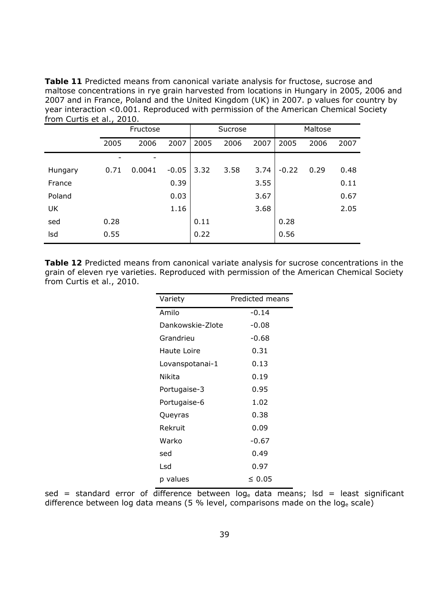**Table 11** Predicted means from canonical variate analysis for fructose, sucrose and maltose concentrations in rye grain harvested from locations in Hungary in 2005, 2006 and 2007 and in France, Poland and the United Kingdom (UK) in 2007. p values for country by year interaction <0.001. Reproduced with permission of the American Chemical Society from Curtis *et al*., 2010.

|           |      | Fructose |         |      | Sucrose |      |         | Maltose |      |
|-----------|------|----------|---------|------|---------|------|---------|---------|------|
|           | 2005 | 2006     | 2007    | 2005 | 2006    | 2007 | 2005    | 2006    | 2007 |
|           |      |          |         |      |         |      |         |         |      |
| Hungary   | 0.71 | 0.0041   | $-0.05$ | 3.32 | 3.58    | 3.74 | $-0.22$ | 0.29    | 0.48 |
| France    |      |          | 0.39    |      |         | 3.55 |         |         | 0.11 |
| Poland    |      |          | 0.03    |      |         | 3.67 |         |         | 0.67 |
| <b>UK</b> |      |          | 1.16    |      |         | 3.68 |         |         | 2.05 |
| sed       | 0.28 |          |         | 0.11 |         |      | 0.28    |         |      |
| Isd       | 0.55 |          |         | 0.22 |         |      | 0.56    |         |      |

**Table 12** Predicted means from canonical variate analysis for sucrose concentrations in the grain of eleven rye varieties. Reproduced with permission of the American Chemical Society from Curtis *et al*., 2010.

| Variety          | Predicted means |
|------------------|-----------------|
| Amilo            | -0.14           |
| Dankowskie-Zlote | $-0.08$         |
| Grandrieu        | $-0.68$         |
| Haute Loire      | 0.31            |
| Lovanspotanai-1  | 0.13            |
| Nikita           | 0.19            |
| Portugaise-3     | 0.95            |
| Portugaise-6     | 1.02            |
| Queyras          | 0.38            |
| Rekruit          | 0.09            |
| Warko            | $-0.67$         |
| sed              | 0.49            |
| Lsd              | 0.97            |
| p values         | < 0.05          |

sed = standard error of difference between  $log_e$  data means; lsd = least significant difference between log data means (5 % level, comparisons made on the loge scale)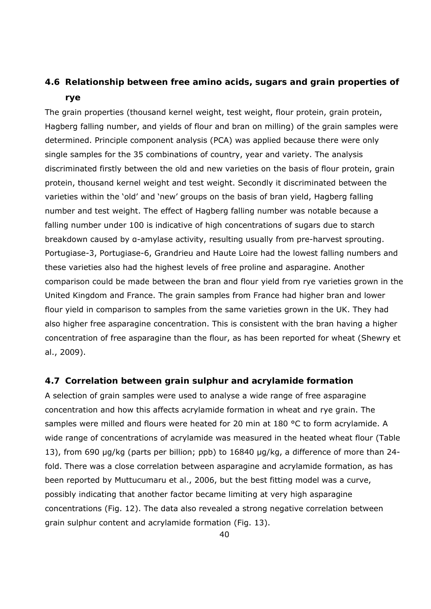# **4.6 Relationship between free amino acids, sugars and grain properties of rye**

The grain properties (thousand kernel weight, test weight, flour protein, grain protein, Hagberg falling number, and yields of flour and bran on milling) of the grain samples were determined. Principle component analysis (PCA) was applied because there were only single samples for the 35 combinations of country, year and variety. The analysis discriminated firstly between the old and new varieties on the basis of flour protein, grain protein, thousand kernel weight and test weight. Secondly it discriminated between the varieties within the 'old' and 'new' groups on the basis of bran yield, Hagberg falling number and test weight. The effect of Hagberg falling number was notable because a falling number under 100 is indicative of high concentrations of sugars due to starch breakdown caused by α-amylase activity, resulting usually from pre-harvest sprouting. Portugiase-3, Portugiase-6, Grandrieu and Haute Loire had the lowest falling numbers and these varieties also had the highest levels of free proline and asparagine. Another comparison could be made between the bran and flour yield from rye varieties grown in the United Kingdom and France. The grain samples from France had higher bran and lower flour yield in comparison to samples from the same varieties grown in the UK. They had also higher free asparagine concentration. This is consistent with the bran having a higher concentration of free asparagine than the flour, as has been reported for wheat (Shewry et al., 2009).

#### **4.7 Correlation between grain sulphur and acrylamide formation**

A selection of grain samples were used to analyse a wide range of free asparagine concentration and how this affects acrylamide formation in wheat and rye grain. The samples were milled and flours were heated for 20 min at 180 °C to form acrylamide. A wide range of concentrations of acrylamide was measured in the heated wheat flour (Table 13), from 690 µg/kg (parts per billion; ppb) to 16840 µg/kg, a difference of more than 24 fold. There was a close correlation between asparagine and acrylamide formation, as has been reported by Muttucumaru *et al*., 2006, but the best fitting model was a curve, possibly indicating that another factor became limiting at very high asparagine concentrations (Fig. 12). The data also revealed a strong negative correlation between grain sulphur content and acrylamide formation (Fig. 13).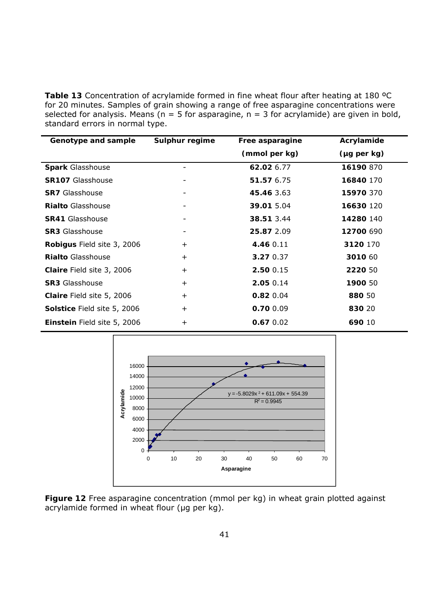**Table 13** Concentration of acrylamide formed in fine wheat flour after heating at 180 ºC for 20 minutes. Samples of grain showing a range of free asparagine concentrations were selected for analysis. Means ( $n = 5$  for asparagine,  $n = 3$  for acrylamide) are given in bold, standard errors in normal type.

| Genotype and sample         | Sulphur regime | Free asparagine | Acrylamide  |
|-----------------------------|----------------|-----------------|-------------|
|                             |                | (mmol per kg)   | (µg per kg) |
| <b>Spark Glasshouse</b>     |                | 62.02 6.77      | 16190 870   |
| <b>SR107 Glasshouse</b>     |                | 51.57 6.75      | 16840 170   |
| <b>SR7</b> Glasshouse       |                | 45.46 3.63      | 15970 370   |
| <b>Rialto Glasshouse</b>    |                | 39.01 5.04      | 16630 120   |
| <b>SR41 Glasshouse</b>      |                | 38.51 3.44      | 14280 140   |
| <b>SR3 Glasshouse</b>       |                | 25.87 2.09      | 12700 690   |
| Robigus Field site 3, 2006  | $+$            | 4.46 0.11       | 3120 170    |
| <b>Rialto Glasshouse</b>    | $\ddot{}$      | 3.270.37        | 3010 60     |
| Claire Field site 3, 2006   | $\ddot{}$      | 2.50 0.15       | 2220 50     |
| <b>SR3 Glasshouse</b>       | $\ddot{}$      | 2.05 0.14       | 1900 50     |
| Claire Field site 5, 2006   | $\ddot{}$      | $0.82$ 0.04     | 880 50      |
| Solstice Field site 5, 2006 | $\ddot{}$      | 0.70 0.09       | 830 20      |
| Einstein Field site 5, 2006 | $\ddot{}$      | $0.67$ 0.02     | 690 10      |



**Figure 12** Free asparagine concentration (mmol per kg) in wheat grain plotted against acrylamide formed in wheat flour (µg per kg).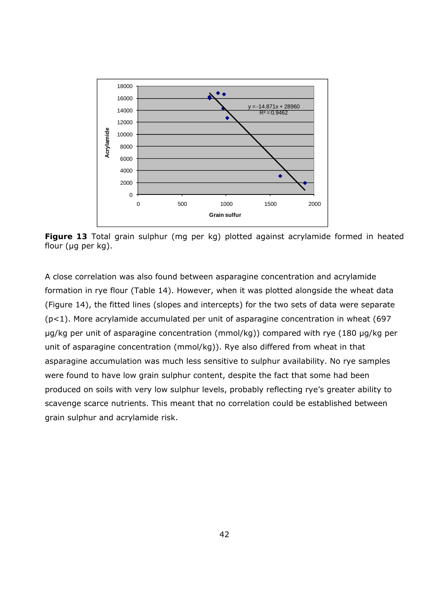

**Figure 13** Total grain sulphur (mg per kg) plotted against acrylamide formed in heated flour (µg per kg).

A close correlation was also found between asparagine concentration and acrylamide formation in rye flour (Table 14). However, when it was plotted alongside the wheat data (Figure 14), the fitted lines (slopes and intercepts) for the two sets of data were separate (p<1). More acrylamide accumulated per unit of asparagine concentration in wheat (697 µg/kg per unit of asparagine concentration (mmol/kg)) compared with rye (180 µg/kg per unit of asparagine concentration (mmol/kg)). Rye also differed from wheat in that asparagine accumulation was much less sensitive to sulphur availability. No rye samples were found to have low grain sulphur content, despite the fact that some had been produced on soils with very low sulphur levels, probably reflecting rye's greater ability to scavenge scarce nutrients. This meant that no correlation could be established between grain sulphur and acrylamide risk.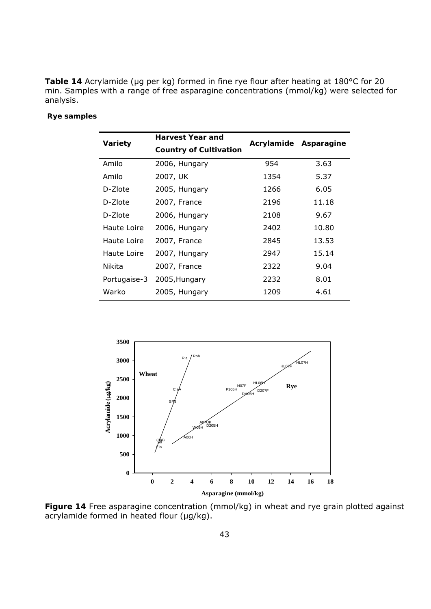Table 14 Acrylamide (µg per kg) formed in fine rye flour after heating at 180°C for 20 min. Samples with a range of free asparagine concentrations (mmol/kg) were selected for analysis.

#### **Rye samples**

| Variety      | <b>Harvest Year and</b>       |            |            |
|--------------|-------------------------------|------------|------------|
|              | <b>Country of Cultivation</b> | Acrylamide | Asparagine |
| Amilo        | 2006, Hungary                 | 954        | 3.63       |
| Amilo        | 2007, UK                      | 1354       | 5.37       |
| D-Zlote      | 2005, Hungary                 | 1266       | 6.05       |
| D-Zlote      | 2007, France                  | 2196       | 11.18      |
| D-Zlote      | 2006, Hungary                 | 2108       | 9.67       |
| Haute Loire  | 2006, Hungary                 | 2402       | 10.80      |
| Haute Loire  | 2007, France                  | 2845       | 13.53      |
| Haute Loire  | 2007, Hungary                 | 2947       | 15.14      |
| Nikita       | 2007, France                  | 2322       | 9.04       |
| Portugaise-3 | 2005, Hungary                 | 2232       | 8.01       |
| Warko        | 2005, Hungary                 | 1209       | 4.61       |



**Figure 14** Free asparagine concentration (mmol/kg) in wheat and rye grain plotted against acrylamide formed in heated flour (µg/kg).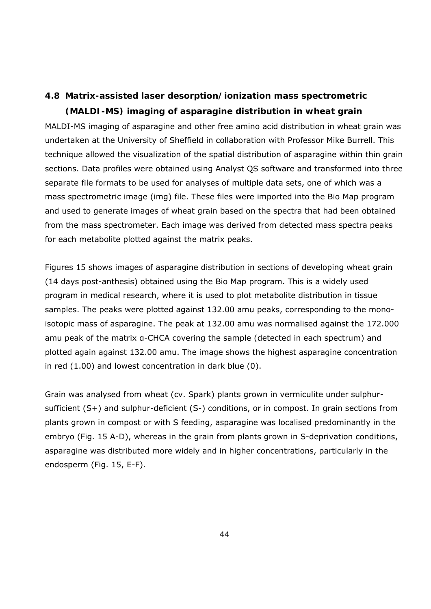# **4.8 Matrix-assisted laser desorption/ionization mass spectrometric**

**(MALDI-MS) imaging of asparagine distribution in wheat grain**  MALDI-MS imaging of asparagine and other free amino acid distribution in wheat grain was undertaken at the University of Sheffield in collaboration with Professor Mike Burrell. This technique allowed the visualization of the spatial distribution of asparagine within thin grain sections. Data profiles were obtained using Analyst QS software and transformed into three separate file formats to be used for analyses of multiple data sets, one of which was a mass spectrometric image (img) file. These files were imported into the Bio Map program and used to generate images of wheat grain based on the spectra that had been obtained from the mass spectrometer. Each image was derived from detected mass spectra peaks for each metabolite plotted against the matrix peaks.

Figures 15 shows images of asparagine distribution in sections of developing wheat grain (14 days post-anthesis) obtained using the Bio Map program. This is a widely used program in medical research, where it is used to plot metabolite distribution in tissue samples. The peaks were plotted against 132.00 amu peaks, corresponding to the monoisotopic mass of asparagine. The peak at 132.00 amu was normalised against the 172.000 amu peak of the matrix α-CHCA covering the sample (detected in each spectrum) and plotted again against 132.00 amu. The image shows the highest asparagine concentration in red (1.00) and lowest concentration in dark blue (0).

Grain was analysed from wheat (cv. Spark) plants grown in vermiculite under sulphursufficient (S+) and sulphur-deficient (S-) conditions, or in compost. In grain sections from plants grown in compost or with S feeding, asparagine was localised predominantly in the embryo (Fig. 15 A-D), whereas in the grain from plants grown in S-deprivation conditions, asparagine was distributed more widely and in higher concentrations, particularly in the endosperm (Fig. 15, E-F).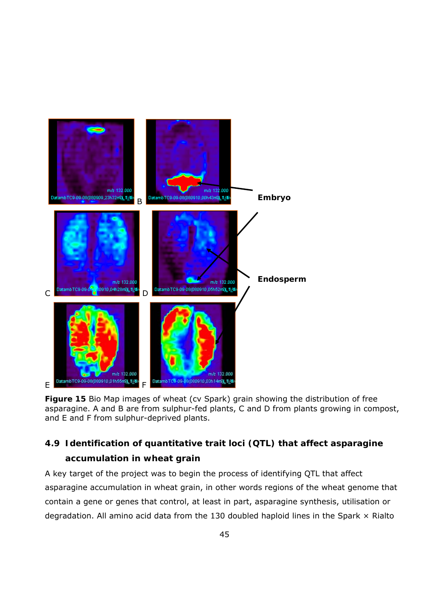

**Figure 15** Bio Map images of wheat (cv Spark) grain showing the distribution of free asparagine. A and B are from sulphur-fed plants, C and D from plants growing in compost, and E and F from sulphur-deprived plants.

# **4.9 Identification of quantitative trait loci (QTL) that affect asparagine accumulation in wheat grain**

A key target of the project was to begin the process of identifying QTL that affect asparagine accumulation in wheat grain, in other words regions of the wheat genome that contain a gene or genes that control, at least in part, asparagine synthesis, utilisation or degradation. All amino acid data from the 130 doubled haploid lines in the Spark  $\times$  Rialto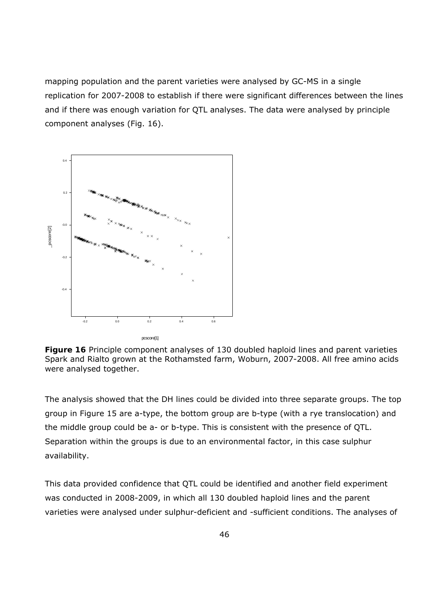mapping population and the parent varieties were analysed by GC-MS in a single replication for 2007-2008 to establish if there were significant differences between the lines and if there was enough variation for QTL analyses. The data were analysed by principle component analyses (Fig. 16).



**Figure 16** Principle component analyses of 130 doubled haploid lines and parent varieties Spark and Rialto grown at the Rothamsted farm, Woburn, 2007-2008. All free amino acids were analysed together.

The analysis showed that the DH lines could be divided into three separate groups. The top group in Figure 15 are a-type, the bottom group are b-type (with a rye translocation) and the middle group could be a- or b-type. This is consistent with the presence of QTL. Separation within the groups is due to an environmental factor, in this case sulphur availability.

This data provided confidence that QTL could be identified and another field experiment was conducted in 2008-2009, in which all 130 doubled haploid lines and the parent varieties were analysed under sulphur-deficient and -sufficient conditions. The analyses of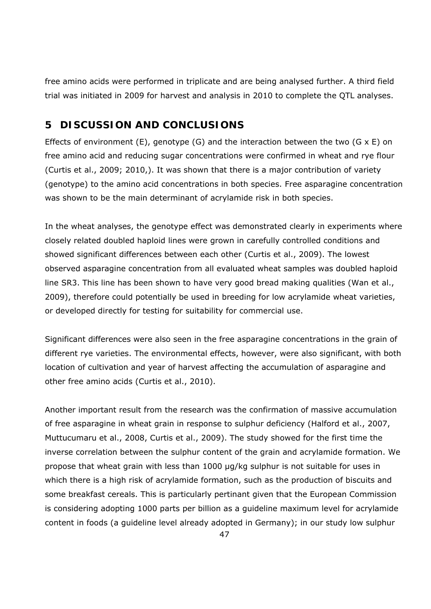free amino acids were performed in triplicate and are being analysed further. A third field trial was initiated in 2009 for harvest and analysis in 2010 to complete the QTL analyses.

## **5 DISCUSSION AND CONCLUSIONS**

Effects of environment (E), genotype (G) and the interaction between the two (G  $\times$  E) on free amino acid and reducing sugar concentrations were confirmed in wheat and rye flour (Curtis *et al*., 2009; 2010,). It was shown that there is a major contribution of variety (genotype) to the amino acid concentrations in both species. Free asparagine concentration was shown to be the main determinant of acrylamide risk in both species.

In the wheat analyses, the genotype effect was demonstrated clearly in experiments where closely related doubled haploid lines were grown in carefully controlled conditions and showed significant differences between each other (Curtis *et al*., 2009). The lowest observed asparagine concentration from all evaluated wheat samples was doubled haploid line SR3. This line has been shown to have very good bread making qualities (Wan *et al*., 2009), therefore could potentially be used in breeding for low acrylamide wheat varieties, or developed directly for testing for suitability for commercial use.

Significant differences were also seen in the free asparagine concentrations in the grain of different rye varieties. The environmental effects, however, were also significant, with both location of cultivation and year of harvest affecting the accumulation of asparagine and other free amino acids (Curtis et al., 2010).

Another important result from the research was the confirmation of massive accumulation of free asparagine in wheat grain in response to sulphur deficiency (Halford et al., 2007, Muttucumaru et al., 2008, Curtis et al., 2009). The study showed for the first time the inverse correlation between the sulphur content of the grain and acrylamide formation. We propose that wheat grain with less than 1000 µg/kg sulphur is not suitable for uses in which there is a high risk of acrylamide formation, such as the production of biscuits and some breakfast cereals. This is particularly pertinant given that the European Commission is considering adopting 1000 parts per billion as a guideline maximum level for acrylamide content in foods (a guideline level already adopted in Germany); in our study low sulphur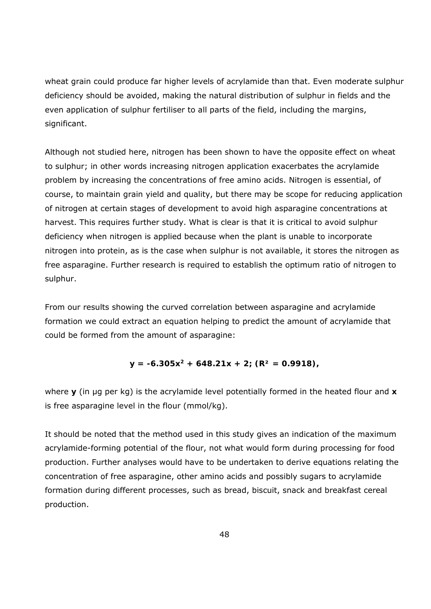wheat grain could produce far higher levels of acrylamide than that. Even moderate sulphur deficiency should be avoided, making the natural distribution of sulphur in fields and the even application of sulphur fertiliser to all parts of the field, including the margins, significant.

Although not studied here, nitrogen has been shown to have the opposite effect on wheat to sulphur; in other words increasing nitrogen application exacerbates the acrylamide problem by increasing the concentrations of free amino acids. Nitrogen is essential, of course, to maintain grain yield and quality, but there may be scope for reducing application of nitrogen at certain stages of development to avoid high asparagine concentrations at harvest. This requires further study. What is clear is that it is critical to avoid sulphur deficiency when nitrogen is applied because when the plant is unable to incorporate nitrogen into protein, as is the case when sulphur is not available, it stores the nitrogen as free asparagine. Further research is required to establish the optimum ratio of nitrogen to sulphur.

From our results showing the curved correlation between asparagine and acrylamide formation we could extract an equation helping to predict the amount of acrylamide that could be formed from the amount of asparagine:

$$
y = -6.305x^{2} + 648.21x + 2; (R^{2} = 0.9918),
$$

where **y** (in µg per kg) is the acrylamide level potentially formed in the heated flour and **x** is free asparagine level in the flour (mmol/kg).

It should be noted that the method used in this study gives an indication of the maximum acrylamide-forming potential of the flour, not what would form during processing for food production. Further analyses would have to be undertaken to derive equations relating the concentration of free asparagine, other amino acids and possibly sugars to acrylamide formation during different processes, such as bread, biscuit, snack and breakfast cereal production.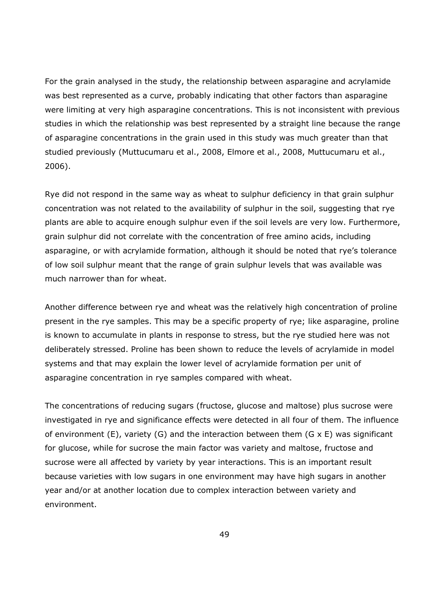For the grain analysed in the study, the relationship between asparagine and acrylamide was best represented as a curve, probably indicating that other factors than asparagine were limiting at very high asparagine concentrations. This is not inconsistent with previous studies in which the relationship was best represented by a straight line because the range of asparagine concentrations in the grain used in this study was much greater than that studied previously (Muttucumaru et al., 2008, Elmore et al., 2008, Muttucumaru et al., 2006).

Rye did not respond in the same way as wheat to sulphur deficiency in that grain sulphur concentration was not related to the availability of sulphur in the soil, suggesting that rye plants are able to acquire enough sulphur even if the soil levels are very low. Furthermore, grain sulphur did not correlate with the concentration of free amino acids, including asparagine, or with acrylamide formation, although it should be noted that rye's tolerance of low soil sulphur meant that the range of grain sulphur levels that was available was much narrower than for wheat.

Another difference between rye and wheat was the relatively high concentration of proline present in the rye samples. This may be a specific property of rye; like asparagine, proline is known to accumulate in plants in response to stress, but the rye studied here was not deliberately stressed. Proline has been shown to reduce the levels of acrylamide in model systems and that may explain the lower level of acrylamide formation per unit of asparagine concentration in rye samples compared with wheat.

The concentrations of reducing sugars (fructose, glucose and maltose) plus sucrose were investigated in rye and significance effects were detected in all four of them. The influence of environment (E), variety (G) and the interaction between them (G  $\times$  E) was significant for glucose, while for sucrose the main factor was variety and maltose, fructose and sucrose were all affected by variety by year interactions. This is an important result because varieties with low sugars in one environment may have high sugars in another year and/or at another location due to complex interaction between variety and environment.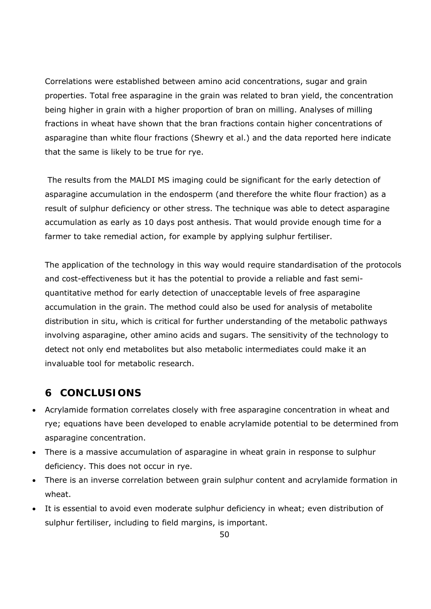Correlations were established between amino acid concentrations, sugar and grain properties. Total free asparagine in the grain was related to bran yield, the concentration being higher in grain with a higher proportion of bran on milling. Analyses of milling fractions in wheat have shown that the bran fractions contain higher concentrations of asparagine than white flour fractions (Shewry et al.) and the data reported here indicate that the same is likely to be true for rye.

 The results from the MALDI MS imaging could be significant for the early detection of asparagine accumulation in the endosperm (and therefore the white flour fraction) as a result of sulphur deficiency or other stress. The technique was able to detect asparagine accumulation as early as 10 days post anthesis. That would provide enough time for a farmer to take remedial action, for example by applying sulphur fertiliser.

The application of the technology in this way would require standardisation of the protocols and cost-effectiveness but it has the potential to provide a reliable and fast semiquantitative method for early detection of unacceptable levels of free asparagine accumulation in the grain. The method could also be used for analysis of metabolite distribution *in situ*, which is critical for further understanding of the metabolic pathways involving asparagine, other amino acids and sugars. The sensitivity of the technology to detect not only end metabolites but also metabolic intermediates could make it an invaluable tool for metabolic research.

## **6 CONCLUSIONS**

- Acrylamide formation correlates closely with free asparagine concentration in wheat and rye; equations have been developed to enable acrylamide potential to be determined from asparagine concentration.
- There is a massive accumulation of asparagine in wheat grain in response to sulphur deficiency. This does not occur in rye.
- There is an inverse correlation between grain sulphur content and acrylamide formation in wheat.
- It is essential to avoid even moderate sulphur deficiency in wheat; even distribution of sulphur fertiliser, including to field margins, is important.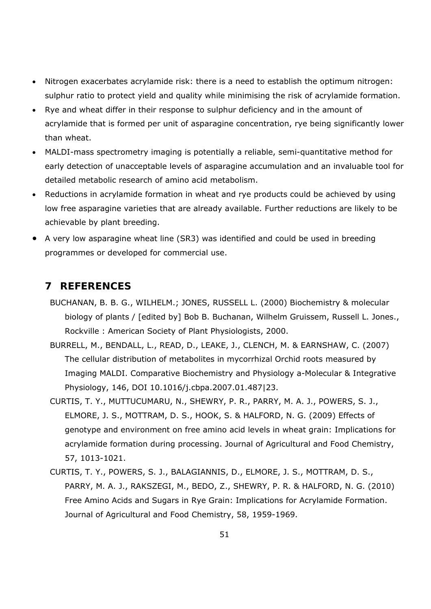- Nitrogen exacerbates acrylamide risk: there is a need to establish the optimum nitrogen: sulphur ratio to protect yield and quality while minimising the risk of acrylamide formation.
- Rye and wheat differ in their response to sulphur deficiency and in the amount of acrylamide that is formed per unit of asparagine concentration, rye being significantly lower than wheat.
- MALDI-mass spectrometry imaging is potentially a reliable, semi-quantitative method for early detection of unacceptable levels of asparagine accumulation and an invaluable tool for detailed metabolic research of amino acid metabolism.
- Reductions in acrylamide formation in wheat and rye products could be achieved by using low free asparagine varieties that are already available. Further reductions are likely to be achievable by plant breeding.
- A very low asparagine wheat line (SR3) was identified and could be used in breeding programmes or developed for commercial use.

## **7 REFERENCES**

- BUCHANAN, B. B. G., WILHELM.; JONES, RUSSELL L. (2000) Biochemistry & molecular biology of plants / [edited by] Bob B. Buchanan, Wilhelm Gruissem, Russell L. Jones., Rockville : American Society of Plant Physiologists, 2000.
- BURRELL, M., BENDALL, L., READ, D., LEAKE, J., CLENCH, M. & EARNSHAW, C. (2007) The cellular distribution of metabolites in mycorrhizal Orchid roots measured by Imaging MALDI. Comparative Biochemistry and Physiology a-Molecular & Integrative Physiology, 146, DOI 10.1016/j.cbpa.2007.01.487|23.
- CURTIS, T. Y., MUTTUCUMARU, N., SHEWRY, P. R., PARRY, M. A. J., POWERS, S. J., ELMORE, J. S., MOTTRAM, D. S., HOOK, S. & HALFORD, N. G. (2009) Effects of genotype and environment on free amino acid levels in wheat grain: Implications for acrylamide formation during processing. Journal of Agricultural and Food Chemistry, 57, 1013-1021.
- CURTIS, T. Y., POWERS, S. J., BALAGIANNIS, D., ELMORE, J. S., MOTTRAM, D. S., PARRY, M. A. J., RAKSZEGI, M., BEDO, Z., SHEWRY, P. R. & HALFORD, N. G. (2010) Free Amino Acids and Sugars in Rye Grain: Implications for Acrylamide Formation. Journal of Agricultural and Food Chemistry, 58, 1959-1969.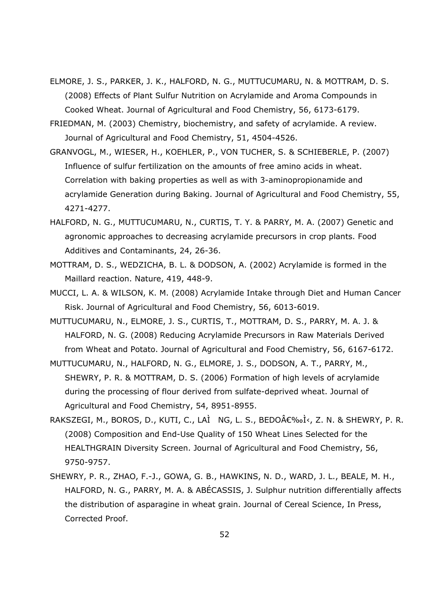- ELMORE, J. S., PARKER, J. K., HALFORD, N. G., MUTTUCUMARU, N. & MOTTRAM, D. S. (2008) Effects of Plant Sulfur Nutrition on Acrylamide and Aroma Compounds in Cooked Wheat. Journal of Agricultural and Food Chemistry, 56, 6173-6179.
- FRIEDMAN, M. (2003) Chemistry, biochemistry, and safety of acrylamide. A review. Journal of Agricultural and Food Chemistry, 51, 4504-4526.
- GRANVOGL, M., WIESER, H., KOEHLER, P., VON TUCHER, S. & SCHIEBERLE, P. (2007) Influence of sulfur fertilization on the amounts of free amino acids in wheat. Correlation with baking properties as well as with 3-aminopropionamide and acrylamide Generation during Baking. Journal of Agricultural and Food Chemistry, 55, 4271-4277.
- HALFORD, N. G., MUTTUCUMARU, N., CURTIS, T. Y. & PARRY, M. A. (2007) Genetic and agronomic approaches to decreasing acrylamide precursors in crop plants. Food Additives and Contaminants, 24, 26-36.
- MOTTRAM, D. S., WEDZICHA, B. L. & DODSON, A. (2002) Acrylamide is formed in the Maillard reaction. Nature, 419, 448-9.
- MUCCI, L. A. & WILSON, K. M. (2008) Acrylamide Intake through Diet and Human Cancer Risk. Journal of Agricultural and Food Chemistry, 56, 6013-6019.
- MUTTUCUMARU, N., ELMORE, J. S., CURTIS, T., MOTTRAM, D. S., PARRY, M. A. J. & HALFORD, N. G. (2008) Reducing Acrylamide Precursors in Raw Materials Derived from Wheat and Potato. Journal of Agricultural and Food Chemistry, 56, 6167-6172.
- MUTTUCUMARU, N., HALFORD, N. G., ELMORE, J. S., DODSON, A. T., PARRY, M., SHEWRY, P. R. & MOTTRAM, D. S. (2006) Formation of high levels of acrylamide during the processing of flour derived from sulfate-deprived wheat. Journal of Agricultural and Food Chemistry, 54, 8951-8955.
- RAKSZEGI, M., BOROS, D., KUTI, C., LAÌ NG, L. S., BEDO€‰Ì<, Z. N. & SHEWRY, P. R. (2008) Composition and End-Use Quality of 150 Wheat Lines Selected for the HEALTHGRAIN Diversity Screen. Journal of Agricultural and Food Chemistry, 56, 9750-9757.
- SHEWRY, P. R., ZHAO, F.-J., GOWA, G. B., HAWKINS, N. D., WARD, J. L., BEALE, M. H., HALFORD, N. G., PARRY, M. A. & ABÉCASSIS, J. Sulphur nutrition differentially affects the distribution of asparagine in wheat grain. Journal of Cereal Science, In Press, Corrected Proof.